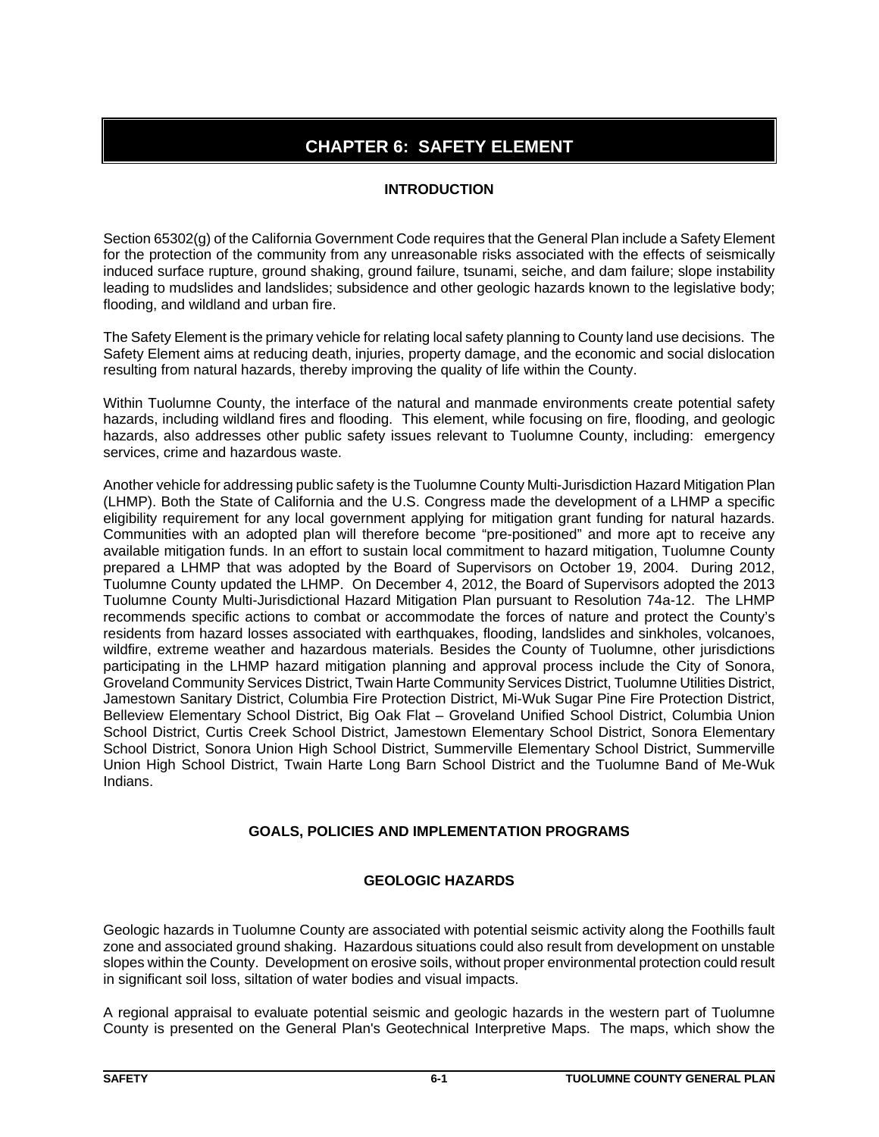# **CHAPTER 6: SAFETY ELEMENT**

## **INTRODUCTION**

Section 65302(g) of the California Government Code requires that the General Plan include a Safety Element for the protection of the community from any unreasonable risks associated with the effects of seismically induced surface rupture, ground shaking, ground failure, tsunami, seiche, and dam failure; slope instability leading to mudslides and landslides; subsidence and other geologic hazards known to the legislative body; flooding, and wildland and urban fire.

The Safety Element is the primary vehicle for relating local safety planning to County land use decisions. The Safety Element aims at reducing death, injuries, property damage, and the economic and social dislocation resulting from natural hazards, thereby improving the quality of life within the County.

Within Tuolumne County, the interface of the natural and manmade environments create potential safety hazards, including wildland fires and flooding. This element, while focusing on fire, flooding, and geologic hazards, also addresses other public safety issues relevant to Tuolumne County, including: emergency services, crime and hazardous waste.

Another vehicle for addressing public safety is the Tuolumne County Multi-Jurisdiction Hazard Mitigation Plan (LHMP). Both the State of California and the U.S. Congress made the development of a LHMP a specific eligibility requirement for any local government applying for mitigation grant funding for natural hazards. Communities with an adopted plan will therefore become "pre-positioned" and more apt to receive any available mitigation funds. In an effort to sustain local commitment to hazard mitigation, Tuolumne County prepared a LHMP that was adopted by the Board of Supervisors on October 19, 2004. During 2012, Tuolumne County updated the LHMP. On December 4, 2012, the Board of Supervisors adopted the 2013 Tuolumne County Multi-Jurisdictional Hazard Mitigation Plan pursuant to Resolution 74a-12. The LHMP recommends specific actions to combat or accommodate the forces of nature and protect the County's residents from hazard losses associated with earthquakes, flooding, landslides and sinkholes, volcanoes, wildfire, extreme weather and hazardous materials. Besides the County of Tuolumne, other jurisdictions participating in the LHMP hazard mitigation planning and approval process include the City of Sonora, Groveland Community Services District, Twain Harte Community Services District, Tuolumne Utilities District, Jamestown Sanitary District, Columbia Fire Protection District, Mi-Wuk Sugar Pine Fire Protection District, Belleview Elementary School District, Big Oak Flat – Groveland Unified School District, Columbia Union School District, Curtis Creek School District, Jamestown Elementary School District, Sonora Elementary School District, Sonora Union High School District, Summerville Elementary School District, Summerville Union High School District, Twain Harte Long Barn School District and the Tuolumne Band of Me-Wuk Indians.

## **GOALS, POLICIES AND IMPLEMENTATION PROGRAMS**

## **GEOLOGIC HAZARDS**

Geologic hazards in Tuolumne County are associated with potential seismic activity along the Foothills fault zone and associated ground shaking. Hazardous situations could also result from development on unstable slopes within the County. Development on erosive soils, without proper environmental protection could result in significant soil loss, siltation of water bodies and visual impacts.

A regional appraisal to evaluate potential seismic and geologic hazards in the western part of Tuolumne County is presented on the General Plan's Geotechnical Interpretive Maps. The maps, which show the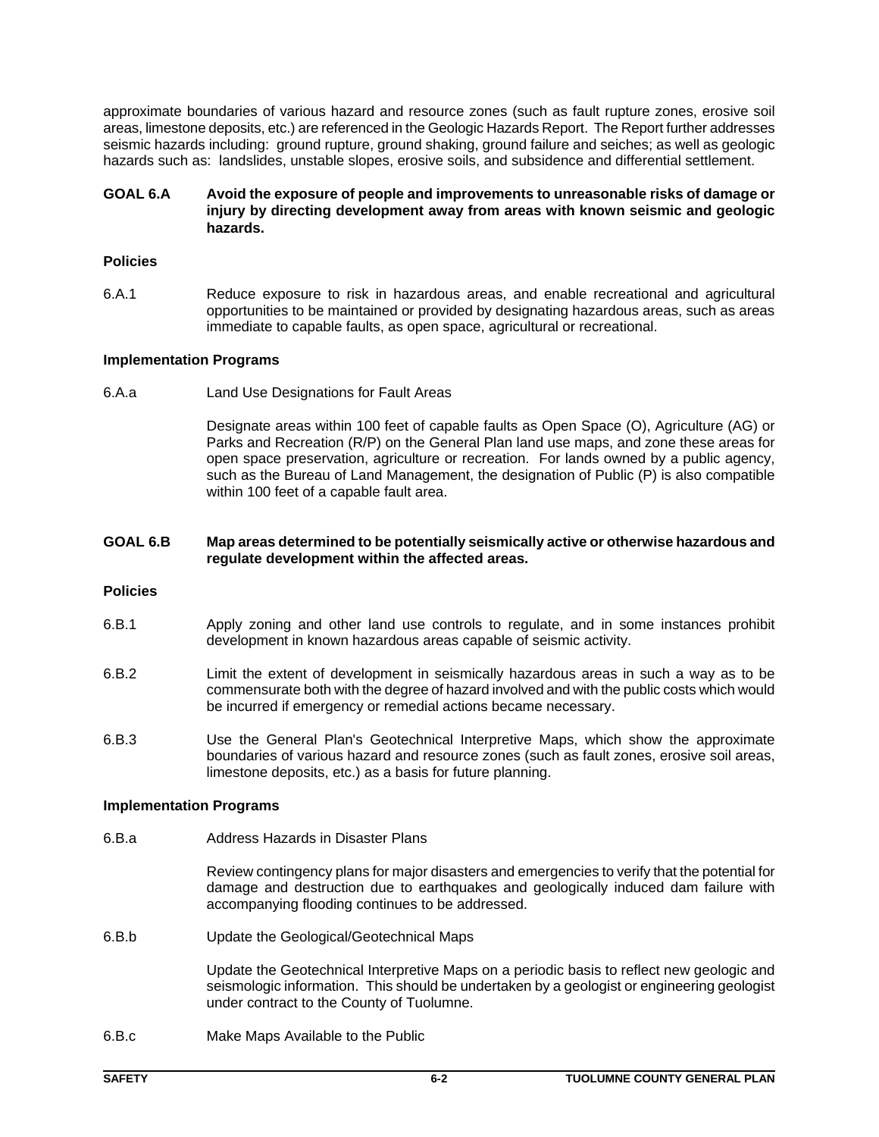approximate boundaries of various hazard and resource zones (such as fault rupture zones, erosive soil areas, limestone deposits, etc.) are referenced in the Geologic Hazards Report. The Report further addresses seismic hazards including: ground rupture, ground shaking, ground failure and seiches; as well as geologic hazards such as: landslides, unstable slopes, erosive soils, and subsidence and differential settlement.

## **GOAL 6.A Avoid the exposure of people and improvements to unreasonable risks of damage or injury by directing development away from areas with known seismic and geologic hazards.**

## **Policies**

6.A.1 Reduce exposure to risk in hazardous areas, and enable recreational and agricultural opportunities to be maintained or provided by designating hazardous areas, such as areas immediate to capable faults, as open space, agricultural or recreational.

## **Implementation Programs**

6.A.a Land Use Designations for Fault Areas

Designate areas within 100 feet of capable faults as Open Space (O), Agriculture (AG) or Parks and Recreation (R/P) on the General Plan land use maps, and zone these areas for open space preservation, agriculture or recreation. For lands owned by a public agency, such as the Bureau of Land Management, the designation of Public (P) is also compatible within 100 feet of a capable fault area.

#### **GOAL 6.B Map areas determined to be potentially seismically active or otherwise hazardous and regulate development within the affected areas.**

## **Policies**

- 6.B.1 Apply zoning and other land use controls to regulate, and in some instances prohibit development in known hazardous areas capable of seismic activity.
- 6.B.2 Limit the extent of development in seismically hazardous areas in such a way as to be commensurate both with the degree of hazard involved and with the public costs which would be incurred if emergency or remedial actions became necessary.
- 6.B.3 Use the General Plan's Geotechnical Interpretive Maps, which show the approximate boundaries of various hazard and resource zones (such as fault zones, erosive soil areas, limestone deposits, etc.) as a basis for future planning.

## **Implementation Programs**

6.B.a Address Hazards in Disaster Plans

Review contingency plans for major disasters and emergencies to verify that the potential for damage and destruction due to earthquakes and geologically induced dam failure with accompanying flooding continues to be addressed.

6.B.b Update the Geological/Geotechnical Maps

Update the Geotechnical Interpretive Maps on a periodic basis to reflect new geologic and seismologic information. This should be undertaken by a geologist or engineering geologist under contract to the County of Tuolumne.

6.B.c Make Maps Available to the Public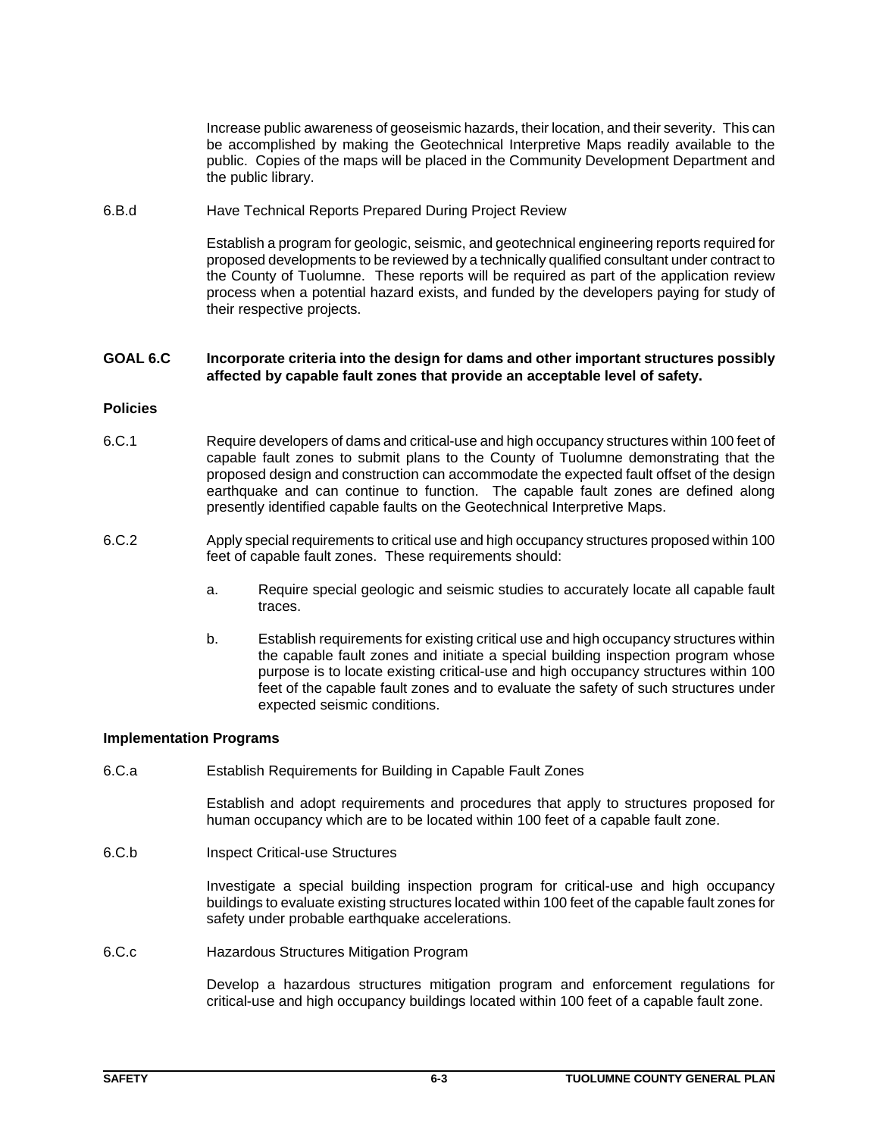Increase public awareness of geoseismic hazards, their location, and their severity. This can be accomplished by making the Geotechnical Interpretive Maps readily available to the public. Copies of the maps will be placed in the Community Development Department and the public library.

6.B.d Have Technical Reports Prepared During Project Review

Establish a program for geologic, seismic, and geotechnical engineering reports required for proposed developments to be reviewed by a technically qualified consultant under contract to the County of Tuolumne. These reports will be required as part of the application review process when a potential hazard exists, and funded by the developers paying for study of their respective projects.

## **GOAL 6.C Incorporate criteria into the design for dams and other important structures possibly affected by capable fault zones that provide an acceptable level of safety.**

## **Policies**

- 6.C.1 Require developers of dams and critical-use and high occupancy structures within 100 feet of capable fault zones to submit plans to the County of Tuolumne demonstrating that the proposed design and construction can accommodate the expected fault offset of the design earthquake and can continue to function. The capable fault zones are defined along presently identified capable faults on the Geotechnical Interpretive Maps.
- 6.C.2 Apply special requirements to critical use and high occupancy structures proposed within 100 feet of capable fault zones. These requirements should:
	- a. Require special geologic and seismic studies to accurately locate all capable fault traces.
	- b. Establish requirements for existing critical use and high occupancy structures within the capable fault zones and initiate a special building inspection program whose purpose is to locate existing critical-use and high occupancy structures within 100 feet of the capable fault zones and to evaluate the safety of such structures under expected seismic conditions.

## **Implementation Programs**

6.C.a Establish Requirements for Building in Capable Fault Zones

Establish and adopt requirements and procedures that apply to structures proposed for human occupancy which are to be located within 100 feet of a capable fault zone.

6.C.b Inspect Critical-use Structures

Investigate a special building inspection program for critical-use and high occupancy buildings to evaluate existing structures located within 100 feet of the capable fault zones for safety under probable earthquake accelerations.

6.C.c Hazardous Structures Mitigation Program

Develop a hazardous structures mitigation program and enforcement regulations for critical-use and high occupancy buildings located within 100 feet of a capable fault zone.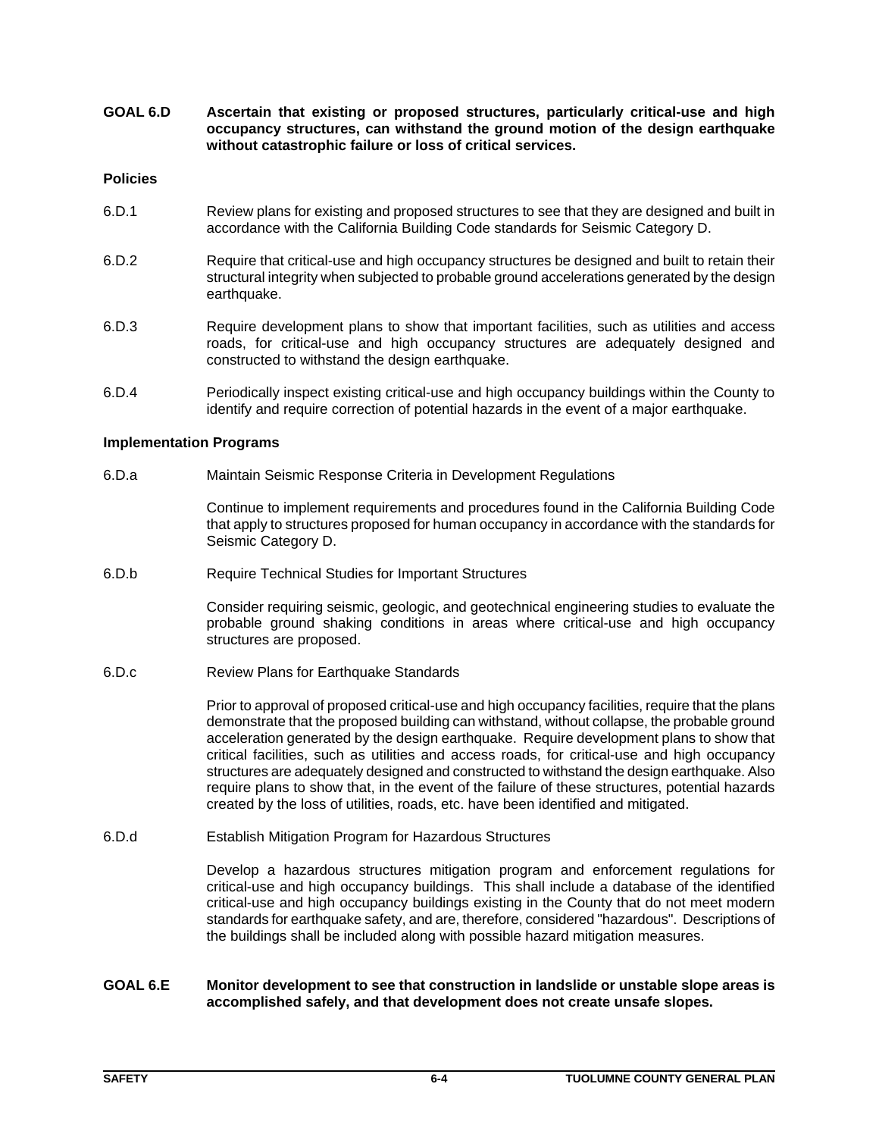**GOAL 6.D Ascertain that existing or proposed structures, particularly critical-use and high occupancy structures, can withstand the ground motion of the design earthquake without catastrophic failure or loss of critical services.**

#### **Policies**

- 6.D.1 Review plans for existing and proposed structures to see that they are designed and built in accordance with the California Building Code standards for Seismic Category D.
- 6.D.2 Require that critical-use and high occupancy structures be designed and built to retain their structural integrity when subjected to probable ground accelerations generated by the design earthquake.
- 6.D.3 Require development plans to show that important facilities, such as utilities and access roads, for critical-use and high occupancy structures are adequately designed and constructed to withstand the design earthquake.
- 6.D.4 Periodically inspect existing critical-use and high occupancy buildings within the County to identify and require correction of potential hazards in the event of a major earthquake.

## **Implementation Programs**

6.D.a Maintain Seismic Response Criteria in Development Regulations

Continue to implement requirements and procedures found in the California Building Code that apply to structures proposed for human occupancy in accordance with the standards for Seismic Category D.

6.D.b Require Technical Studies for Important Structures

Consider requiring seismic, geologic, and geotechnical engineering studies to evaluate the probable ground shaking conditions in areas where critical-use and high occupancy structures are proposed.

6.D.c Review Plans for Earthquake Standards

Prior to approval of proposed critical-use and high occupancy facilities, require that the plans demonstrate that the proposed building can withstand, without collapse, the probable ground acceleration generated by the design earthquake. Require development plans to show that critical facilities, such as utilities and access roads, for critical-use and high occupancy structures are adequately designed and constructed to withstand the design earthquake. Also require plans to show that, in the event of the failure of these structures, potential hazards created by the loss of utilities, roads, etc. have been identified and mitigated.

6.D.d Establish Mitigation Program for Hazardous Structures

Develop a hazardous structures mitigation program and enforcement regulations for critical-use and high occupancy buildings. This shall include a database of the identified critical-use and high occupancy buildings existing in the County that do not meet modern standards for earthquake safety, and are, therefore, considered "hazardous". Descriptions of the buildings shall be included along with possible hazard mitigation measures.

## **GOAL 6.E Monitor development to see that construction in landslide or unstable slope areas is accomplished safely, and that development does not create unsafe slopes.**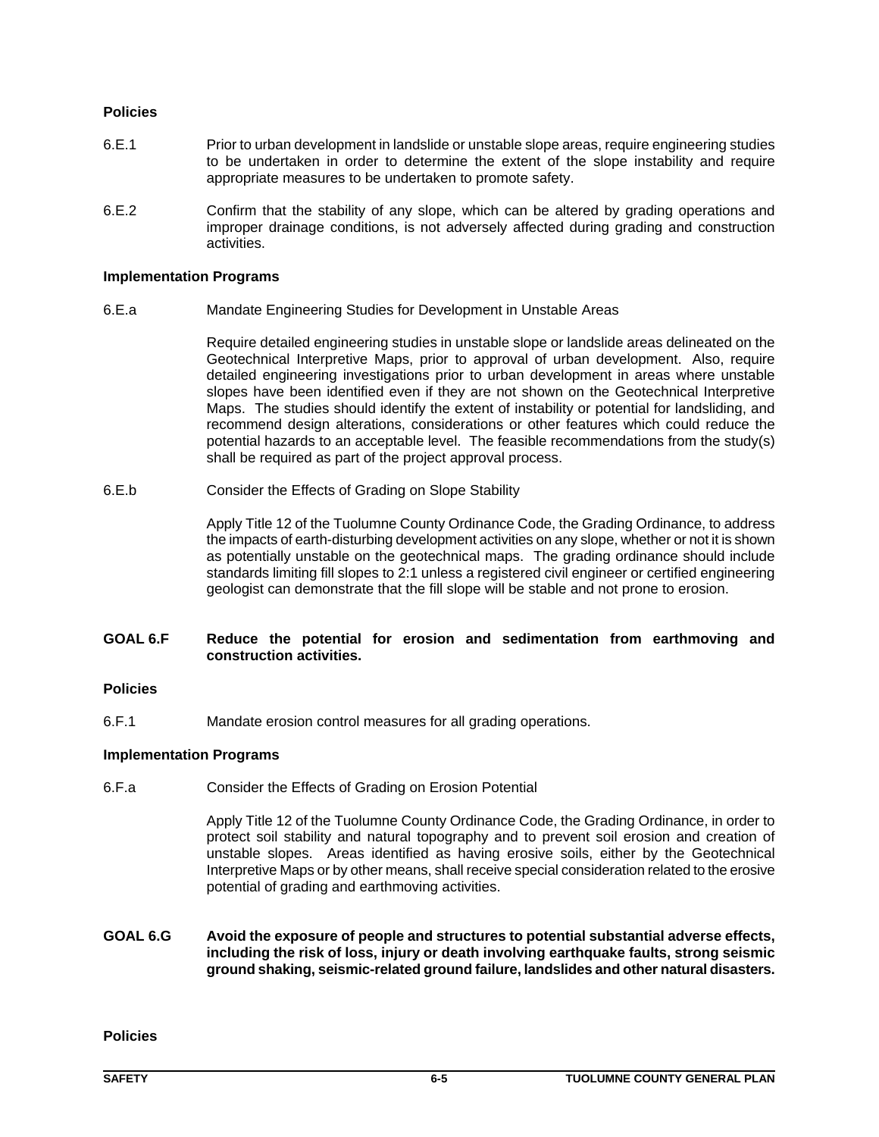## **Policies**

- 6.E.1 Prior to urban development in landslide or unstable slope areas, require engineering studies to be undertaken in order to determine the extent of the slope instability and require appropriate measures to be undertaken to promote safety.
- 6.E.2 Confirm that the stability of any slope, which can be altered by grading operations and improper drainage conditions, is not adversely affected during grading and construction activities.

## **Implementation Programs**

6.E.a Mandate Engineering Studies for Development in Unstable Areas

Require detailed engineering studies in unstable slope or landslide areas delineated on the Geotechnical Interpretive Maps, prior to approval of urban development. Also, require detailed engineering investigations prior to urban development in areas where unstable slopes have been identified even if they are not shown on the Geotechnical Interpretive Maps. The studies should identify the extent of instability or potential for landsliding, and recommend design alterations, considerations or other features which could reduce the potential hazards to an acceptable level. The feasible recommendations from the study(s) shall be required as part of the project approval process.

6.E.b Consider the Effects of Grading on Slope Stability

Apply Title 12 of the Tuolumne County Ordinance Code, the Grading Ordinance, to address the impacts of earth-disturbing development activities on any slope, whether or not it is shown as potentially unstable on the geotechnical maps. The grading ordinance should include standards limiting fill slopes to 2:1 unless a registered civil engineer or certified engineering geologist can demonstrate that the fill slope will be stable and not prone to erosion.

## **GOAL 6.F Reduce the potential for erosion and sedimentation from earthmoving and construction activities.**

## **Policies**

6.F.1 Mandate erosion control measures for all grading operations.

## **Implementation Programs**

6.F.a Consider the Effects of Grading on Erosion Potential

Apply Title 12 of the Tuolumne County Ordinance Code, the Grading Ordinance, in order to protect soil stability and natural topography and to prevent soil erosion and creation of unstable slopes. Areas identified as having erosive soils, either by the Geotechnical Interpretive Maps or by other means, shall receive special consideration related to the erosive potential of grading and earthmoving activities.

**GOAL 6.G Avoid the exposure of people and structures to potential substantial adverse effects, including the risk of loss, injury or death involving earthquake faults, strong seismic ground shaking, seismic-related ground failure, landslides and other natural disasters.** 

**Policies**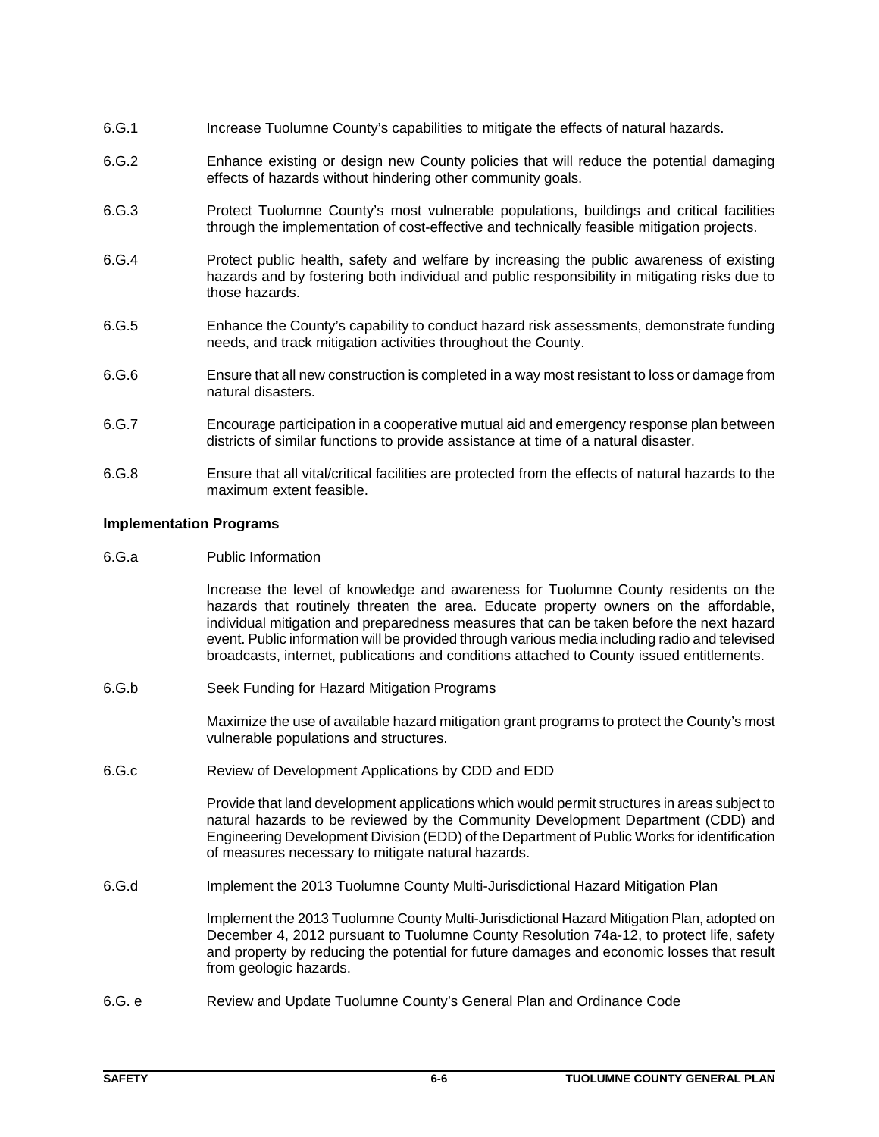- 6.G.1 Increase Tuolumne County's capabilities to mitigate the effects of natural hazards.
- 6.G.2 Enhance existing or design new County policies that will reduce the potential damaging effects of hazards without hindering other community goals.
- 6.G.3 Protect Tuolumne County's most vulnerable populations, buildings and critical facilities through the implementation of cost-effective and technically feasible mitigation projects.
- 6.G.4 Protect public health, safety and welfare by increasing the public awareness of existing hazards and by fostering both individual and public responsibility in mitigating risks due to those hazards.
- 6.G.5 Enhance the County's capability to conduct hazard risk assessments, demonstrate funding needs, and track mitigation activities throughout the County.
- 6.G.6 Ensure that all new construction is completed in a way most resistant to loss or damage from natural disasters.
- 6.G.7 Encourage participation in a cooperative mutual aid and emergency response plan between districts of similar functions to provide assistance at time of a natural disaster.
- 6.G.8 Ensure that all vital/critical facilities are protected from the effects of natural hazards to the maximum extent feasible.

## **Implementation Programs**

6.G.a Public Information

Increase the level of knowledge and awareness for Tuolumne County residents on the hazards that routinely threaten the area. Educate property owners on the affordable, individual mitigation and preparedness measures that can be taken before the next hazard event. Public information will be provided through various media including radio and televised broadcasts, internet, publications and conditions attached to County issued entitlements.

6.G.b Seek Funding for Hazard Mitigation Programs

Maximize the use of available hazard mitigation grant programs to protect the County's most vulnerable populations and structures.

6.G.c Review of Development Applications by CDD and EDD

Provide that land development applications which would permit structures in areas subject to natural hazards to be reviewed by the Community Development Department (CDD) and Engineering Development Division (EDD) of the Department of Public Works for identification of measures necessary to mitigate natural hazards.

6.G.d Implement the 2013 Tuolumne County Multi-Jurisdictional Hazard Mitigation Plan

Implement the 2013 Tuolumne County Multi-Jurisdictional Hazard Mitigation Plan, adopted on December 4, 2012 pursuant to Tuolumne County Resolution 74a-12, to protect life, safety and property by reducing the potential for future damages and economic losses that result from geologic hazards.

6.G. e Review and Update Tuolumne County's General Plan and Ordinance Code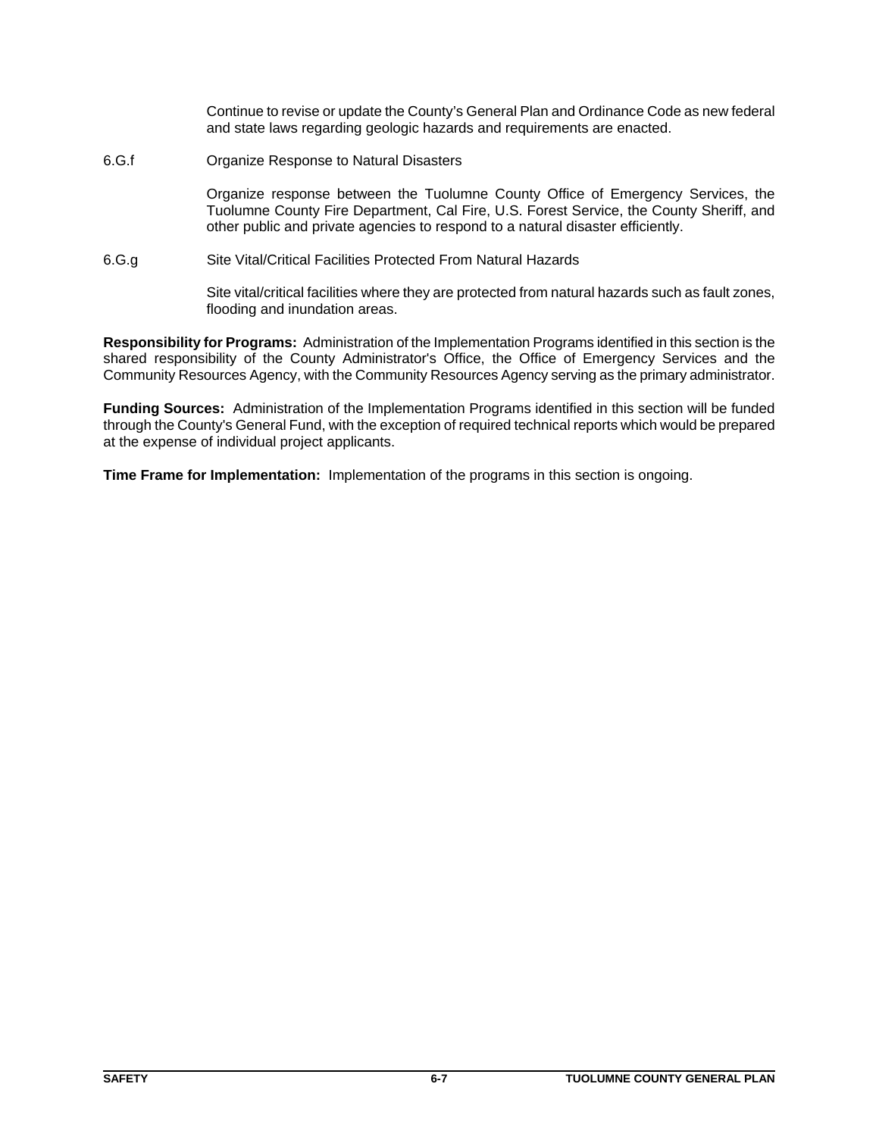Continue to revise or update the County's General Plan and Ordinance Code as new federal and state laws regarding geologic hazards and requirements are enacted.

6.G.f Organize Response to Natural Disasters

Organize response between the Tuolumne County Office of Emergency Services, the Tuolumne County Fire Department, Cal Fire, U.S. Forest Service, the County Sheriff, and other public and private agencies to respond to a natural disaster efficiently.

6.G.g Site Vital/Critical Facilities Protected From Natural Hazards

Site vital/critical facilities where they are protected from natural hazards such as fault zones, flooding and inundation areas.

**Responsibility for Programs:** Administration of the Implementation Programs identified in this section is the shared responsibility of the County Administrator's Office, the Office of Emergency Services and the Community Resources Agency, with the Community Resources Agency serving as the primary administrator.

**Funding Sources:** Administration of the Implementation Programs identified in this section will be funded through the County's General Fund, with the exception of required technical reports which would be prepared at the expense of individual project applicants.

**Time Frame for Implementation:** Implementation of the programs in this section is ongoing.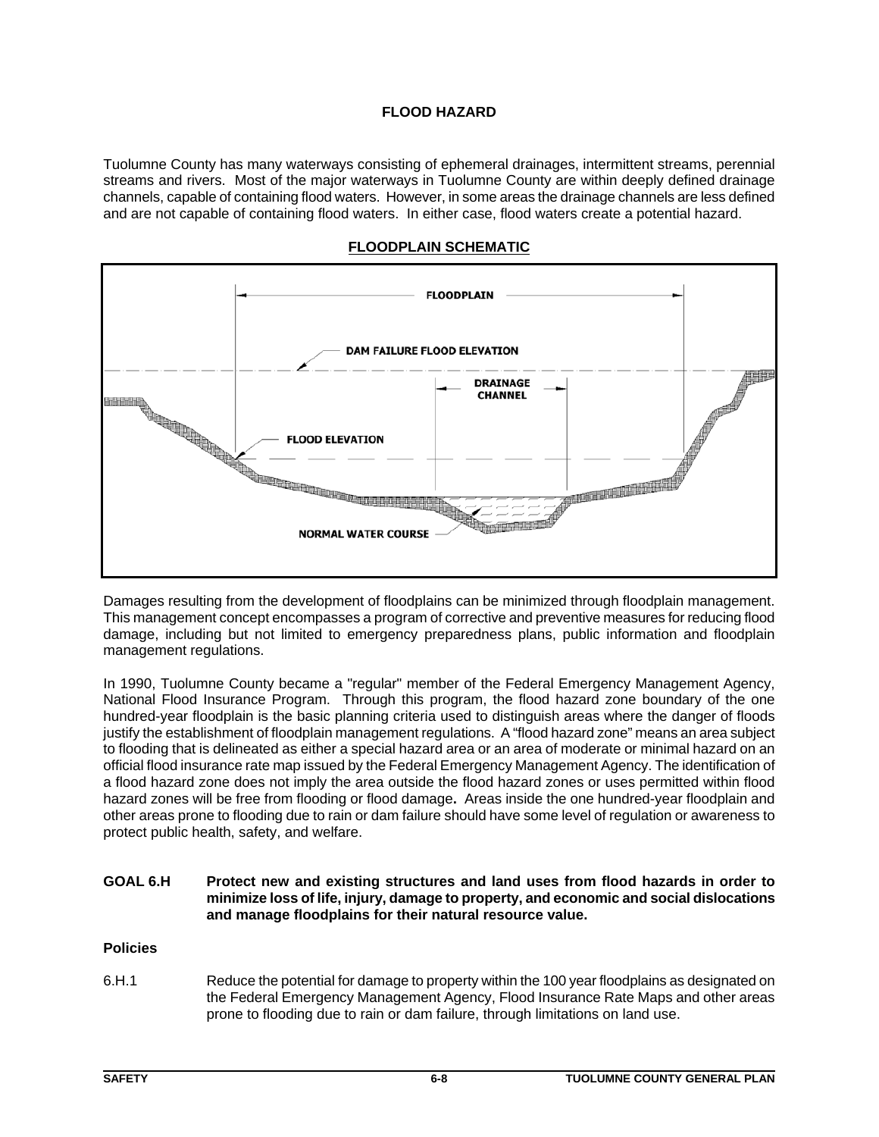## **FLOOD HAZARD**

Tuolumne County has many waterways consisting of ephemeral drainages, intermittent streams, perennial streams and rivers. Most of the major waterways in Tuolumne County are within deeply defined drainage channels, capable of containing flood waters. However, in some areas the drainage channels are less defined and are not capable of containing flood waters. In either case, flood waters create a potential hazard.



#### **FLOODPLAIN SCHEMATIC**

Damages resulting from the development of floodplains can be minimized through floodplain management. This management concept encompasses a program of corrective and preventive measures for reducing flood damage, including but not limited to emergency preparedness plans, public information and floodplain management regulations.

In 1990, Tuolumne County became a "regular" member of the Federal Emergency Management Agency, National Flood Insurance Program. Through this program, the flood hazard zone boundary of the one hundred-year floodplain is the basic planning criteria used to distinguish areas where the danger of floods justify the establishment of floodplain management regulations. A "flood hazard zone" means an area subject to flooding that is delineated as either a special hazard area or an area of moderate or minimal hazard on an official flood insurance rate map issued by the Federal Emergency Management Agency. The identification of a flood hazard zone does not imply the area outside the flood hazard zones or uses permitted within flood hazard zones will be free from flooding or flood damage**.** Areas inside the one hundred-year floodplain and other areas prone to flooding due to rain or dam failure should have some level of regulation or awareness to protect public health, safety, and welfare.

## **GOAL 6.H Protect new and existing structures and land uses from flood hazards in order to minimize loss of life, injury, damage to property, and economic and social dislocations and manage floodplains for their natural resource value.**

## **Policies**

6.H.1 Reduce the potential for damage to property within the 100 year floodplains as designated on the Federal Emergency Management Agency, Flood Insurance Rate Maps and other areas prone to flooding due to rain or dam failure, through limitations on land use.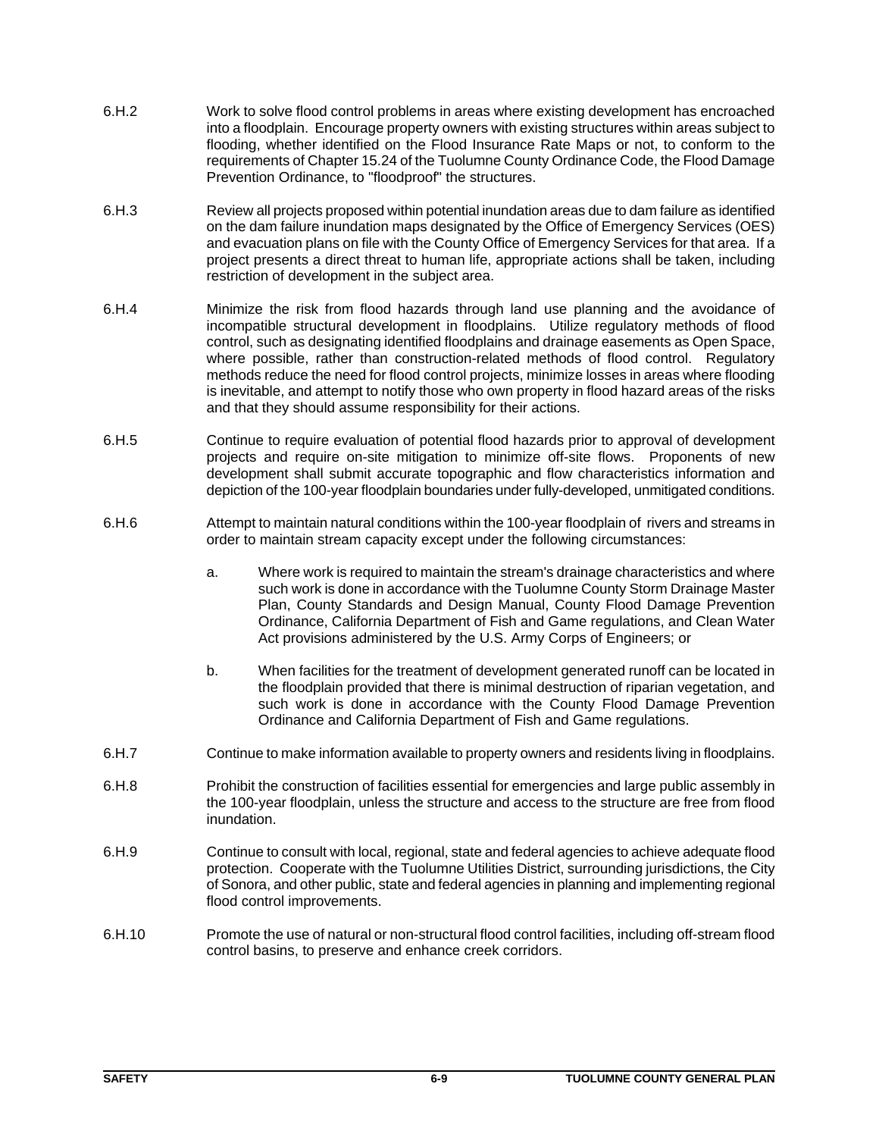- 6.H.2 Work to solve flood control problems in areas where existing development has encroached into a floodplain. Encourage property owners with existing structures within areas subject to flooding, whether identified on the Flood Insurance Rate Maps or not, to conform to the requirements of Chapter 15.24 of the Tuolumne County Ordinance Code, the Flood Damage Prevention Ordinance, to "floodproof" the structures.
- 6.H.3 Review all projects proposed within potential inundation areas due to dam failure as identified on the dam failure inundation maps designated by the Office of Emergency Services (OES) and evacuation plans on file with the County Office of Emergency Services for that area. If a project presents a direct threat to human life, appropriate actions shall be taken, including restriction of development in the subject area.
- 6.H.4 Minimize the risk from flood hazards through land use planning and the avoidance of incompatible structural development in floodplains. Utilize regulatory methods of flood control, such as designating identified floodplains and drainage easements as Open Space, where possible, rather than construction-related methods of flood control. Regulatory methods reduce the need for flood control projects, minimize losses in areas where flooding is inevitable, and attempt to notify those who own property in flood hazard areas of the risks and that they should assume responsibility for their actions.
- 6.H.5 Continue to require evaluation of potential flood hazards prior to approval of development projects and require on-site mitigation to minimize off-site flows. Proponents of new development shall submit accurate topographic and flow characteristics information and depiction of the 100-year floodplain boundaries under fully-developed, unmitigated conditions.
- 6.H.6 Attempt to maintain natural conditions within the 100-year floodplain of rivers and streams in order to maintain stream capacity except under the following circumstances:
	- a. Where work is required to maintain the stream's drainage characteristics and where such work is done in accordance with the Tuolumne County Storm Drainage Master Plan, County Standards and Design Manual, County Flood Damage Prevention Ordinance, California Department of Fish and Game regulations, and Clean Water Act provisions administered by the U.S. Army Corps of Engineers; or
	- b. When facilities for the treatment of development generated runoff can be located in the floodplain provided that there is minimal destruction of riparian vegetation, and such work is done in accordance with the County Flood Damage Prevention Ordinance and California Department of Fish and Game regulations.
- 6.H.7 Continue to make information available to property owners and residents living in floodplains.
- 6.H.8 Prohibit the construction of facilities essential for emergencies and large public assembly in the 100-year floodplain, unless the structure and access to the structure are free from flood inundation.
- 6.H.9 Continue to consult with local, regional, state and federal agencies to achieve adequate flood protection. Cooperate with the Tuolumne Utilities District, surrounding jurisdictions, the City of Sonora, and other public, state and federal agencies in planning and implementing regional flood control improvements.
- 6.H.10 Promote the use of natural or non-structural flood control facilities, including off-stream flood control basins, to preserve and enhance creek corridors.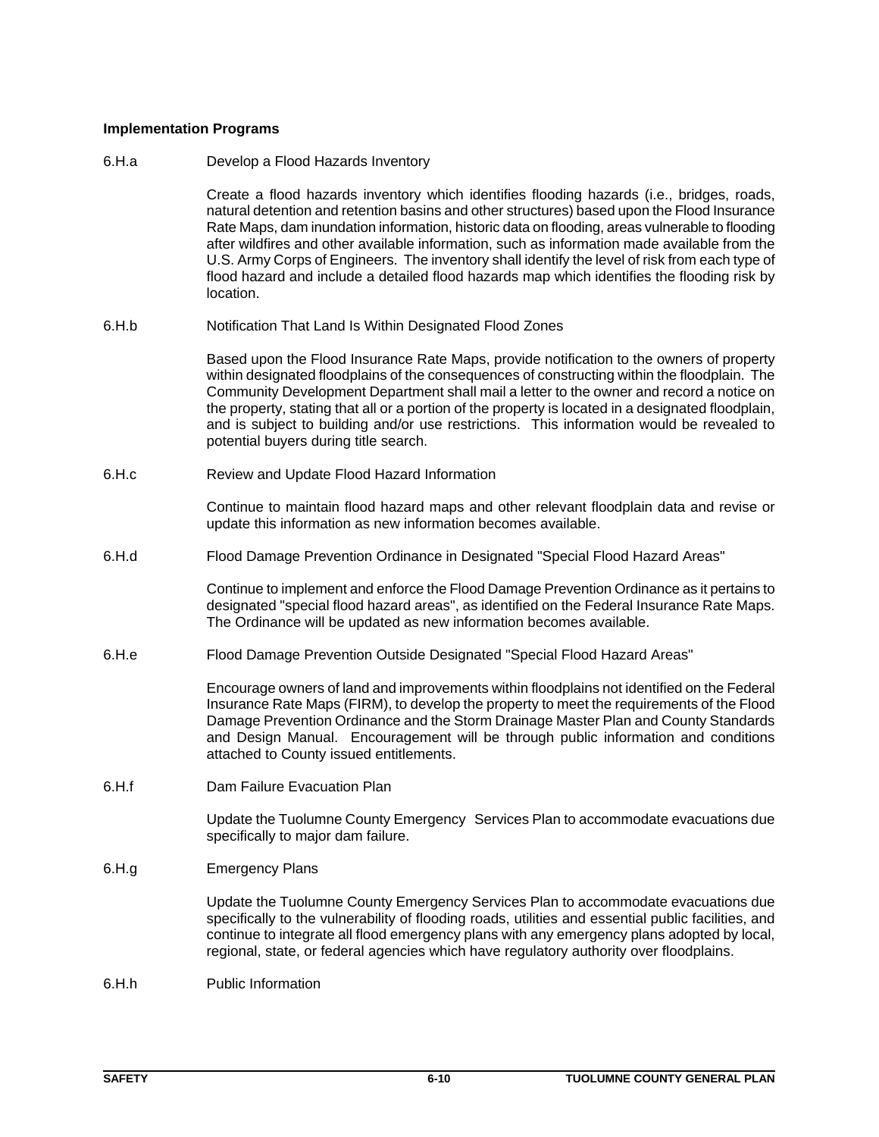## **Implementation Programs**

6.H.a Develop a Flood Hazards Inventory

Create a flood hazards inventory which identifies flooding hazards (i.e., bridges, roads, natural detention and retention basins and other structures) based upon the Flood Insurance Rate Maps, dam inundation information, historic data on flooding, areas vulnerable to flooding after wildfires and other available information, such as information made available from the U.S. Army Corps of Engineers. The inventory shall identify the level of risk from each type of flood hazard and include a detailed flood hazards map which identifies the flooding risk by location.

6.H.b Notification That Land Is Within Designated Flood Zones

Based upon the Flood Insurance Rate Maps, provide notification to the owners of property within designated floodplains of the consequences of constructing within the floodplain. The Community Development Department shall mail a letter to the owner and record a notice on the property, stating that all or a portion of the property is located in a designated floodplain, and is subject to building and/or use restrictions. This information would be revealed to potential buyers during title search.

6.H.c Review and Update Flood Hazard Information

Continue to maintain flood hazard maps and other relevant floodplain data and revise or update this information as new information becomes available.

6.H.d Flood Damage Prevention Ordinance in Designated "Special Flood Hazard Areas"

Continue to implement and enforce the Flood Damage Prevention Ordinance as it pertains to designated "special flood hazard areas", as identified on the Federal Insurance Rate Maps. The Ordinance will be updated as new information becomes available.

6.H.e Flood Damage Prevention Outside Designated "Special Flood Hazard Areas"

Encourage owners of land and improvements within floodplains not identified on the Federal Insurance Rate Maps (FIRM), to develop the property to meet the requirements of the Flood Damage Prevention Ordinance and the Storm Drainage Master Plan and County Standards and Design Manual. Encouragement will be through public information and conditions attached to County issued entitlements.

6.H.f Dam Failure Evacuation Plan

Update the Tuolumne County Emergency Services Plan to accommodate evacuations due specifically to major dam failure.

6.H.g Emergency Plans

Update the Tuolumne County Emergency Services Plan to accommodate evacuations due specifically to the vulnerability of flooding roads, utilities and essential public facilities, and continue to integrate all flood emergency plans with any emergency plans adopted by local, regional, state, or federal agencies which have regulatory authority over floodplains.

6.H.h Public Information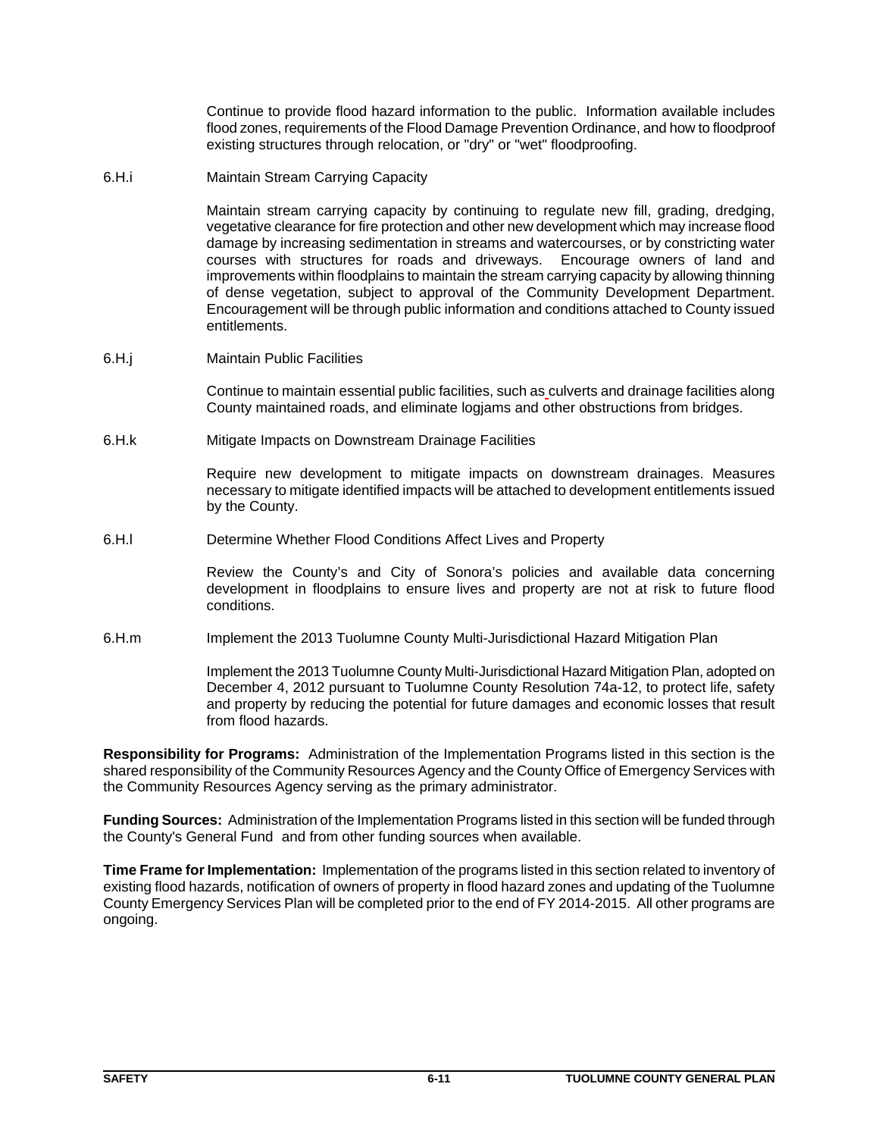Continue to provide flood hazard information to the public. Information available includes flood zones, requirements of the Flood Damage Prevention Ordinance, and how to floodproof existing structures through relocation, or "dry" or "wet" floodproofing.

6.H.i Maintain Stream Carrying Capacity

Maintain stream carrying capacity by continuing to regulate new fill, grading, dredging, vegetative clearance for fire protection and other new development which may increase flood damage by increasing sedimentation in streams and watercourses, or by constricting water courses with structures for roads and driveways. Encourage owners of land and improvements within floodplains to maintain the stream carrying capacity by allowing thinning of dense vegetation, subject to approval of the Community Development Department. Encouragement will be through public information and conditions attached to County issued entitlements.

6.H.j Maintain Public Facilities

Continue to maintain essential public facilities, such as culverts and drainage facilities along County maintained roads, and eliminate logjams and other obstructions from bridges.

6.H.k Mitigate Impacts on Downstream Drainage Facilities

Require new development to mitigate impacts on downstream drainages. Measures necessary to mitigate identified impacts will be attached to development entitlements issued by the County.

6.H.l Determine Whether Flood Conditions Affect Lives and Property

Review the County's and City of Sonora's policies and available data concerning development in floodplains to ensure lives and property are not at risk to future flood conditions.

6.H.m Implement the 2013 Tuolumne County Multi-Jurisdictional Hazard Mitigation Plan

Implement the 2013 Tuolumne County Multi-Jurisdictional Hazard Mitigation Plan, adopted on December 4, 2012 pursuant to Tuolumne County Resolution 74a-12, to protect life, safety and property by reducing the potential for future damages and economic losses that result from flood hazards.

**Responsibility for Programs:** Administration of the Implementation Programs listed in this section is the shared responsibility of the Community Resources Agency and the County Office of Emergency Services with the Community Resources Agency serving as the primary administrator.

**Funding Sources:** Administration of the Implementation Programs listed in this section will be funded through the County's General Fund and from other funding sources when available.

**Time Frame for Implementation:** Implementation of the programs listed in this section related to inventory of existing flood hazards, notification of owners of property in flood hazard zones and updating of the Tuolumne County Emergency Services Plan will be completed prior to the end of FY 2014-2015. All other programs are ongoing.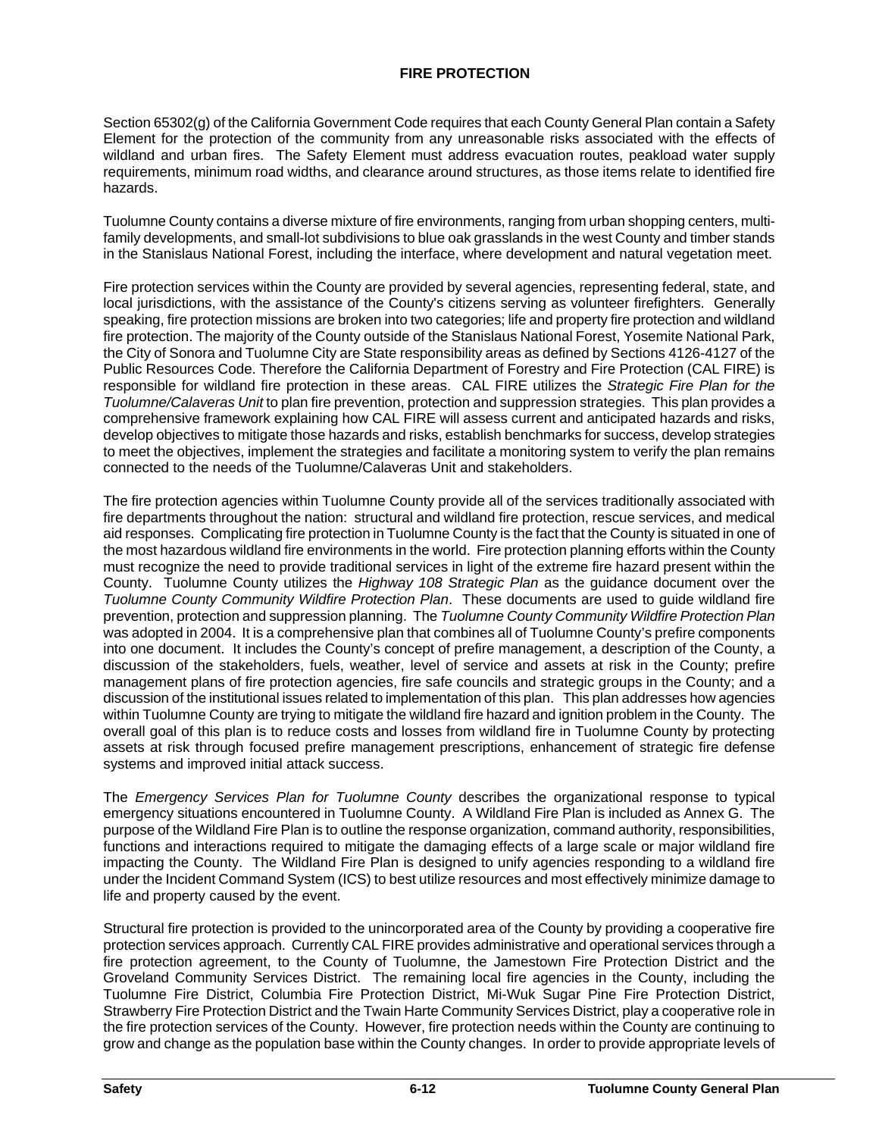Section 65302(g) of the California Government Code requires that each County General Plan contain a Safety Element for the protection of the community from any unreasonable risks associated with the effects of wildland and urban fires. The Safety Element must address evacuation routes, peakload water supply requirements, minimum road widths, and clearance around structures, as those items relate to identified fire hazards.

Tuolumne County contains a diverse mixture of fire environments, ranging from urban shopping centers, multifamily developments, and small-lot subdivisions to blue oak grasslands in the west County and timber stands in the Stanislaus National Forest, including the interface, where development and natural vegetation meet.

Fire protection services within the County are provided by several agencies, representing federal, state, and local jurisdictions, with the assistance of the County's citizens serving as volunteer firefighters. Generally speaking, fire protection missions are broken into two categories; life and property fire protection and wildland fire protection. The majority of the County outside of the Stanislaus National Forest, Yosemite National Park, the City of Sonora and Tuolumne City are State responsibility areas as defined by Sections 4126-4127 of the Public Resources Code. Therefore the California Department of Forestry and Fire Protection (CAL FIRE) is responsible for wildland fire protection in these areas. CAL FIRE utilizes the *Strategic Fire Plan for the Tuolumne/Calaveras Unit* to plan fire prevention, protection and suppression strategies. This plan provides a comprehensive framework explaining how CAL FIRE will assess current and anticipated hazards and risks, develop objectives to mitigate those hazards and risks, establish benchmarks for success, develop strategies to meet the objectives, implement the strategies and facilitate a monitoring system to verify the plan remains connected to the needs of the Tuolumne/Calaveras Unit and stakeholders.

The fire protection agencies within Tuolumne County provide all of the services traditionally associated with fire departments throughout the nation: structural and wildland fire protection, rescue services, and medical aid responses. Complicating fire protection in Tuolumne County is the fact that the County is situated in one of the most hazardous wildland fire environments in the world. Fire protection planning efforts within the County must recognize the need to provide traditional services in light of the extreme fire hazard present within the County. Tuolumne County utilizes the *Highway 108 Strategic Plan* as the guidance document over the *Tuolumne County Community Wildfire Protection Plan*. These documents are used to guide wildland fire prevention, protection and suppression planning. The *Tuolumne County Community Wildfire Protection Plan* was adopted in 2004. It is a comprehensive plan that combines all of Tuolumne County's prefire components into one document. It includes the County's concept of prefire management, a description of the County, a discussion of the stakeholders, fuels, weather, level of service and assets at risk in the County; prefire management plans of fire protection agencies, fire safe councils and strategic groups in the County; and a discussion of the institutional issues related to implementation of this plan. This plan addresses how agencies within Tuolumne County are trying to mitigate the wildland fire hazard and ignition problem in the County. The overall goal of this plan is to reduce costs and losses from wildland fire in Tuolumne County by protecting assets at risk through focused prefire management prescriptions, enhancement of strategic fire defense systems and improved initial attack success.

The *Emergency Services Plan for Tuolumne County* describes the organizational response to typical emergency situations encountered in Tuolumne County. A Wildland Fire Plan is included as Annex G. The purpose of the Wildland Fire Plan is to outline the response organization, command authority, responsibilities, functions and interactions required to mitigate the damaging effects of a large scale or major wildland fire impacting the County. The Wildland Fire Plan is designed to unify agencies responding to a wildland fire under the Incident Command System (ICS) to best utilize resources and most effectively minimize damage to life and property caused by the event.

Structural fire protection is provided to the unincorporated area of the County by providing a cooperative fire protection services approach. Currently CAL FIRE provides administrative and operational services through a fire protection agreement, to the County of Tuolumne, the Jamestown Fire Protection District and the Groveland Community Services District. The remaining local fire agencies in the County, including the Tuolumne Fire District, Columbia Fire Protection District, Mi-Wuk Sugar Pine Fire Protection District, Strawberry Fire Protection District and the Twain Harte Community Services District, play a cooperative role in the fire protection services of the County. However, fire protection needs within the County are continuing to grow and change as the population base within the County changes. In order to provide appropriate levels of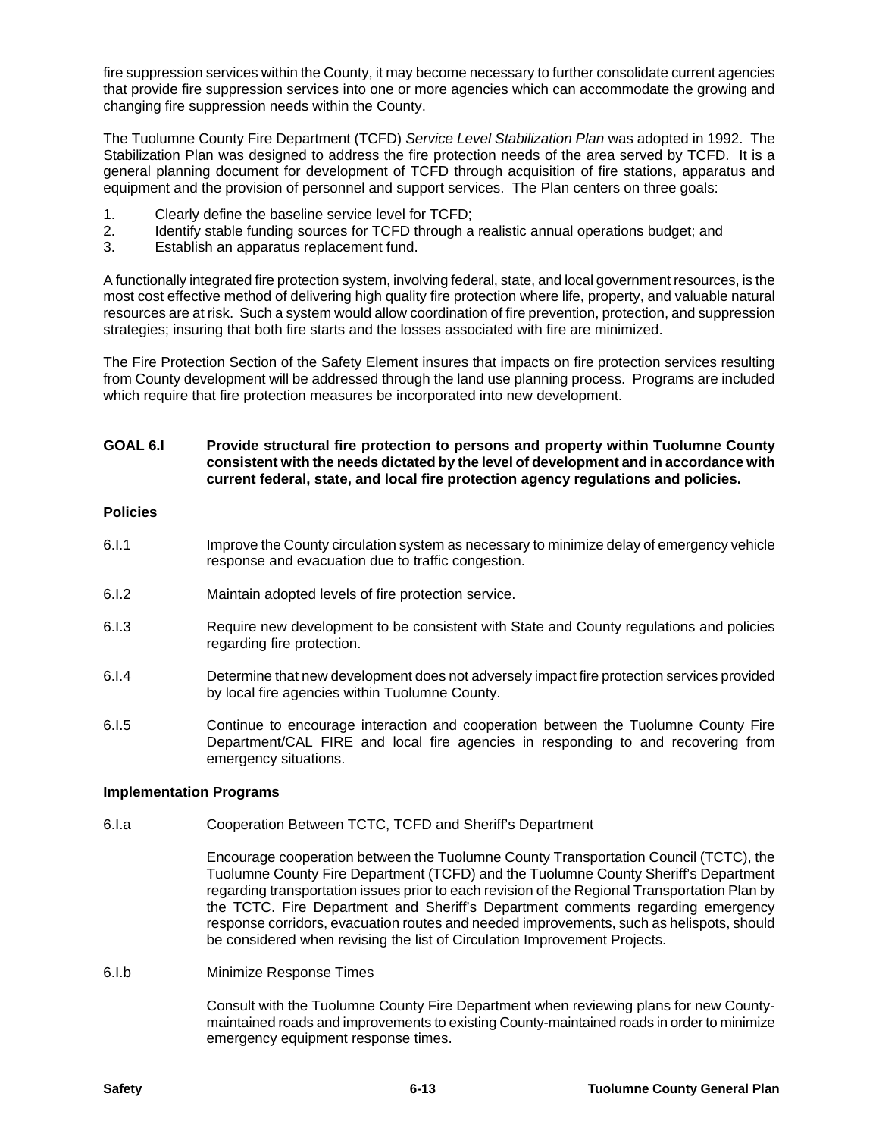fire suppression services within the County, it may become necessary to further consolidate current agencies that provide fire suppression services into one or more agencies which can accommodate the growing and changing fire suppression needs within the County.

The Tuolumne County Fire Department (TCFD) *Service Level Stabilization Plan* was adopted in 1992. The Stabilization Plan was designed to address the fire protection needs of the area served by TCFD. It is a general planning document for development of TCFD through acquisition of fire stations, apparatus and equipment and the provision of personnel and support services. The Plan centers on three goals:

- 1. Clearly define the baseline service level for TCFD;
- 2. Identify stable funding sources for TCFD through a realistic annual operations budget; and
- 3. Establish an apparatus replacement fund.

A functionally integrated fire protection system, involving federal, state, and local government resources, is the most cost effective method of delivering high quality fire protection where life, property, and valuable natural resources are at risk. Such a system would allow coordination of fire prevention, protection, and suppression strategies; insuring that both fire starts and the losses associated with fire are minimized.

The Fire Protection Section of the Safety Element insures that impacts on fire protection services resulting from County development will be addressed through the land use planning process. Programs are included which require that fire protection measures be incorporated into new development.

## **GOAL 6.I Provide structural fire protection to persons and property within Tuolumne County consistent with the needs dictated by the level of development and in accordance with current federal, state, and local fire protection agency regulations and policies.**

## **Policies**

- 6.I.1 Improve the County circulation system as necessary to minimize delay of emergency vehicle response and evacuation due to traffic congestion.
- 6.I.2 Maintain adopted levels of fire protection service.
- 6.I.3 Require new development to be consistent with State and County regulations and policies regarding fire protection.
- 6.I.4 Determine that new development does not adversely impact fire protection services provided by local fire agencies within Tuolumne County.
- 6.I.5 Continue to encourage interaction and cooperation between the Tuolumne County Fire Department/CAL FIRE and local fire agencies in responding to and recovering from emergency situations.

## **Implementation Programs**

6.I.a Cooperation Between TCTC, TCFD and Sheriff's Department

Encourage cooperation between the Tuolumne County Transportation Council (TCTC), the Tuolumne County Fire Department (TCFD) and the Tuolumne County Sheriff's Department regarding transportation issues prior to each revision of the Regional Transportation Plan by the TCTC. Fire Department and Sheriff's Department comments regarding emergency response corridors, evacuation routes and needed improvements, such as helispots, should be considered when revising the list of Circulation Improvement Projects.

6.I.b Minimize Response Times

Consult with the Tuolumne County Fire Department when reviewing plans for new Countymaintained roads and improvements to existing County-maintained roads in order to minimize emergency equipment response times.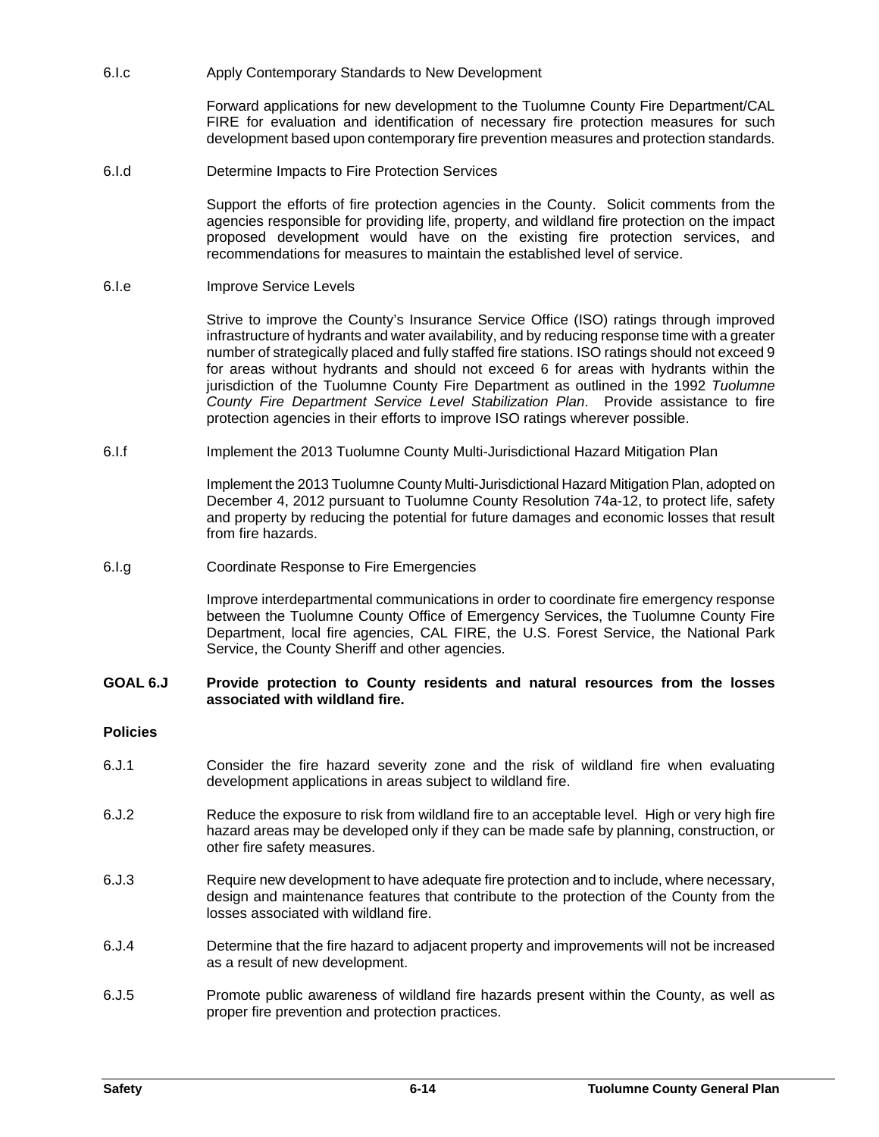6.I.c Apply Contemporary Standards to New Development

Forward applications for new development to the Tuolumne County Fire Department/CAL FIRE for evaluation and identification of necessary fire protection measures for such development based upon contemporary fire prevention measures and protection standards.

6.I.d Determine Impacts to Fire Protection Services

Support the efforts of fire protection agencies in the County. Solicit comments from the agencies responsible for providing life, property, and wildland fire protection on the impact proposed development would have on the existing fire protection services, and recommendations for measures to maintain the established level of service.

## 6.I.e Improve Service Levels

Strive to improve the County's Insurance Service Office (ISO) ratings through improved infrastructure of hydrants and water availability, and by reducing response time with a greater number of strategically placed and fully staffed fire stations. ISO ratings should not exceed 9 for areas without hydrants and should not exceed 6 for areas with hydrants within the jurisdiction of the Tuolumne County Fire Department as outlined in the 1992 *Tuolumne County Fire Department Service Level Stabilization Plan*. Provide assistance to fire protection agencies in their efforts to improve ISO ratings wherever possible.

6.I.f Implement the 2013 Tuolumne County Multi-Jurisdictional Hazard Mitigation Plan

Implement the 2013 Tuolumne County Multi-Jurisdictional Hazard Mitigation Plan, adopted on December 4, 2012 pursuant to Tuolumne County Resolution 74a-12, to protect life, safety and property by reducing the potential for future damages and economic losses that result from fire hazards.

6.I.g Coordinate Response to Fire Emergencies

Improve interdepartmental communications in order to coordinate fire emergency response between the Tuolumne County Office of Emergency Services, the Tuolumne County Fire Department, local fire agencies, CAL FIRE, the U.S. Forest Service, the National Park Service, the County Sheriff and other agencies.

#### **GOAL 6.J Provide protection to County residents and natural resources from the losses associated with wildland fire.**

## **Policies**

- 6.J.1 Consider the fire hazard severity zone and the risk of wildland fire when evaluating development applications in areas subject to wildland fire.
- 6.J.2 Reduce the exposure to risk from wildland fire to an acceptable level. High or very high fire hazard areas may be developed only if they can be made safe by planning, construction, or other fire safety measures.
- 6.J.3 Require new development to have adequate fire protection and to include, where necessary, design and maintenance features that contribute to the protection of the County from the losses associated with wildland fire.
- 6.J.4 Determine that the fire hazard to adjacent property and improvements will not be increased as a result of new development.
- 6.J.5 Promote public awareness of wildland fire hazards present within the County, as well as proper fire prevention and protection practices.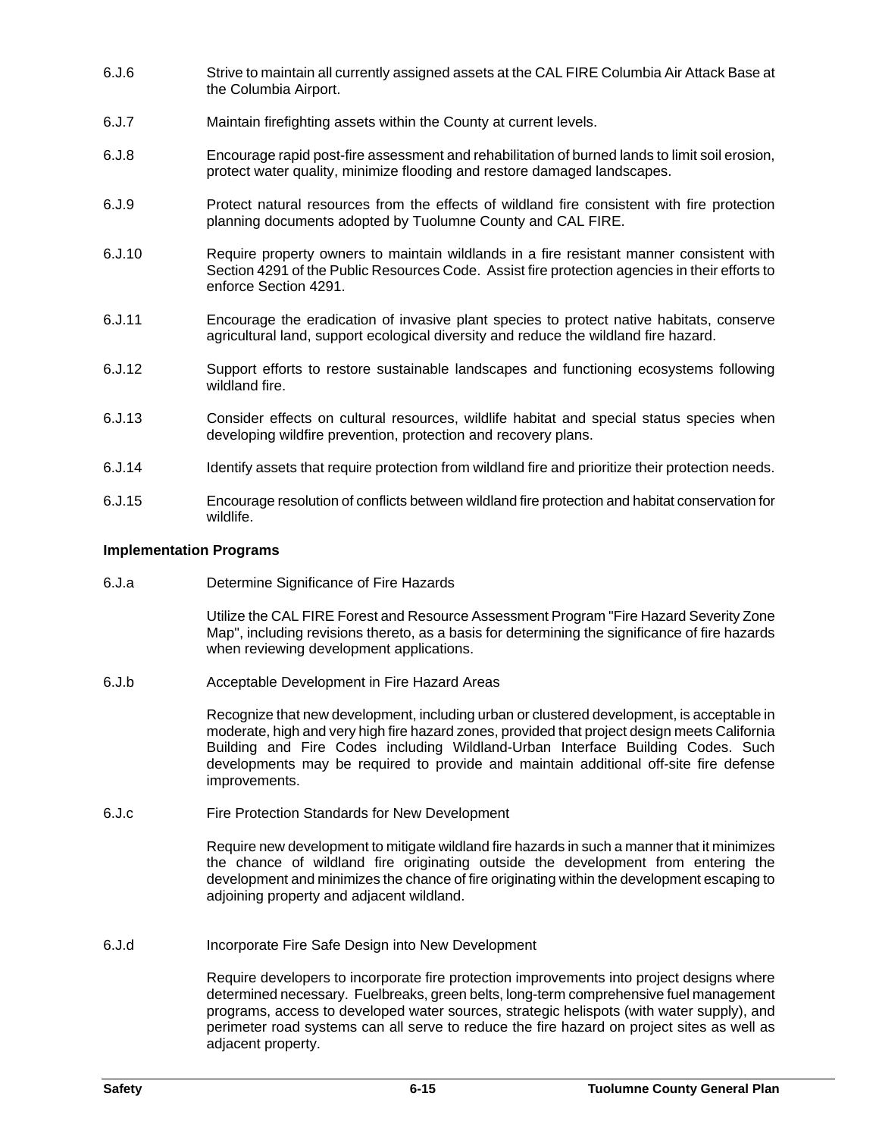- 6.J.6 Strive to maintain all currently assigned assets at the CAL FIRE Columbia Air Attack Base at the Columbia Airport.
- 6.J.7 Maintain firefighting assets within the County at current levels.
- 6.J.8 Encourage rapid post-fire assessment and rehabilitation of burned lands to limit soil erosion, protect water quality, minimize flooding and restore damaged landscapes.
- 6.J.9 Protect natural resources from the effects of wildland fire consistent with fire protection planning documents adopted by Tuolumne County and CAL FIRE.
- 6.J.10 Require property owners to maintain wildlands in a fire resistant manner consistent with Section 4291 of the Public Resources Code. Assist fire protection agencies in their efforts to enforce Section 4291.
- 6.J.11 Encourage the eradication of invasive plant species to protect native habitats, conserve agricultural land, support ecological diversity and reduce the wildland fire hazard.
- 6.J.12 Support efforts to restore sustainable landscapes and functioning ecosystems following wildland fire.
- 6.J.13 Consider effects on cultural resources, wildlife habitat and special status species when developing wildfire prevention, protection and recovery plans.
- 6.J.14 Identify assets that require protection from wildland fire and prioritize their protection needs.
- 6.J.15 Encourage resolution of conflicts between wildland fire protection and habitat conservation for wildlife.

## **Implementation Programs**

6.J.a Determine Significance of Fire Hazards

Utilize the CAL FIRE Forest and Resource Assessment Program "Fire Hazard Severity Zone Map", including revisions thereto, as a basis for determining the significance of fire hazards when reviewing development applications.

6.J.b Acceptable Development in Fire Hazard Areas

Recognize that new development, including urban or clustered development, is acceptable in moderate, high and very high fire hazard zones, provided that project design meets California Building and Fire Codes including Wildland-Urban Interface Building Codes. Such developments may be required to provide and maintain additional off-site fire defense improvements.

6.J.c Fire Protection Standards for New Development

Require new development to mitigate wildland fire hazards in such a manner that it minimizes the chance of wildland fire originating outside the development from entering the development and minimizes the chance of fire originating within the development escaping to adjoining property and adjacent wildland.

6.J.d Incorporate Fire Safe Design into New Development

Require developers to incorporate fire protection improvements into project designs where determined necessary. Fuelbreaks, green belts, long-term comprehensive fuel management programs, access to developed water sources, strategic helispots (with water supply), and perimeter road systems can all serve to reduce the fire hazard on project sites as well as adjacent property.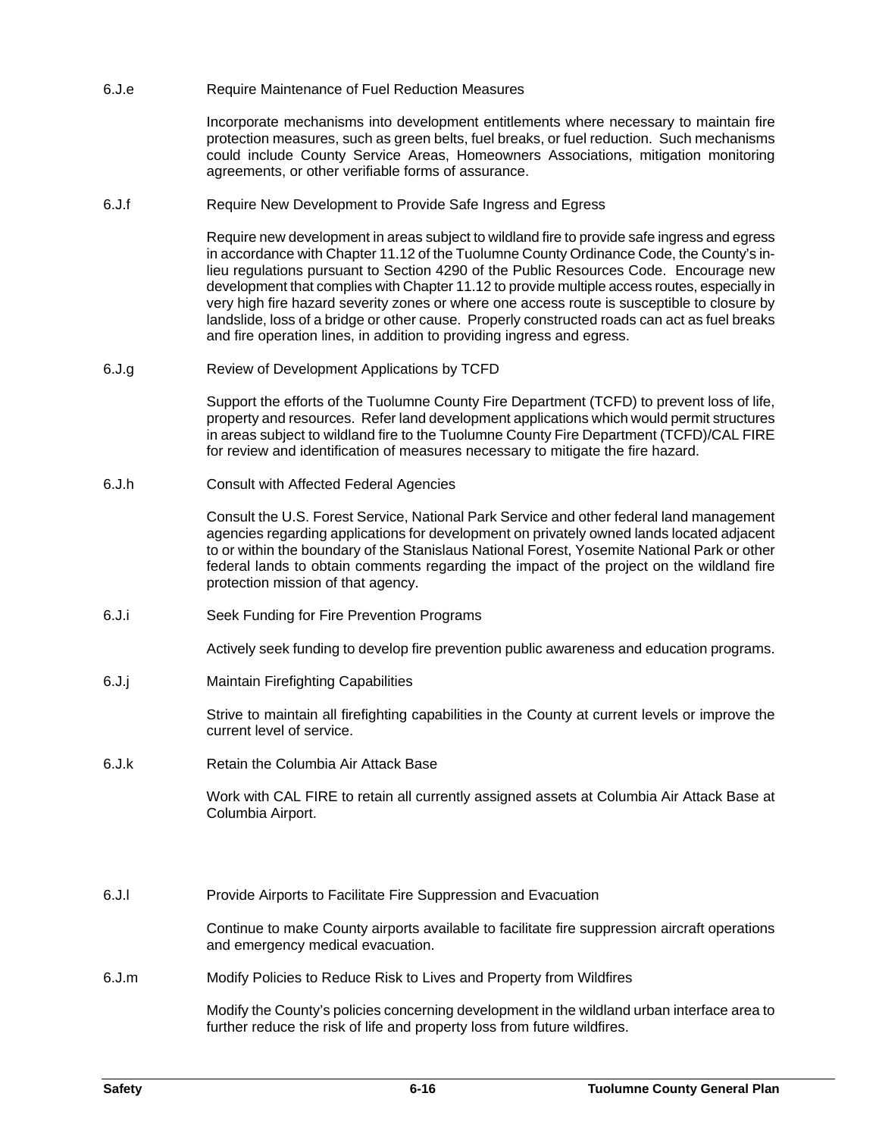6.J.e Require Maintenance of Fuel Reduction Measures

Incorporate mechanisms into development entitlements where necessary to maintain fire protection measures, such as green belts, fuel breaks, or fuel reduction. Such mechanisms could include County Service Areas, Homeowners Associations, mitigation monitoring agreements, or other verifiable forms of assurance.

6.J.f Require New Development to Provide Safe Ingress and Egress

Require new development in areas subject to wildland fire to provide safe ingress and egress in accordance with Chapter 11.12 of the Tuolumne County Ordinance Code, the County's inlieu regulations pursuant to Section 4290 of the Public Resources Code. Encourage new development that complies with Chapter 11.12 to provide multiple access routes, especially in very high fire hazard severity zones or where one access route is susceptible to closure by landslide, loss of a bridge or other cause. Properly constructed roads can act as fuel breaks and fire operation lines, in addition to providing ingress and egress.

6.J.g Review of Development Applications by TCFD

Support the efforts of the Tuolumne County Fire Department (TCFD) to prevent loss of life, property and resources. Refer land development applications which would permit structures in areas subject to wildland fire to the Tuolumne County Fire Department (TCFD)/CAL FIRE for review and identification of measures necessary to mitigate the fire hazard.

6.J.h Consult with Affected Federal Agencies

Consult the U.S. Forest Service, National Park Service and other federal land management agencies regarding applications for development on privately owned lands located adjacent to or within the boundary of the Stanislaus National Forest, Yosemite National Park or other federal lands to obtain comments regarding the impact of the project on the wildland fire protection mission of that agency.

6.J.i Seek Funding for Fire Prevention Programs

Actively seek funding to develop fire prevention public awareness and education programs.

6.J.j Maintain Firefighting Capabilities

Strive to maintain all firefighting capabilities in the County at current levels or improve the current level of service.

6.J.k Retain the Columbia Air Attack Base

Work with CAL FIRE to retain all currently assigned assets at Columbia Air Attack Base at Columbia Airport.

6.J.l Provide Airports to Facilitate Fire Suppression and Evacuation

Continue to make County airports available to facilitate fire suppression aircraft operations and emergency medical evacuation.

6.J.m Modify Policies to Reduce Risk to Lives and Property from Wildfires

Modify the County's policies concerning development in the wildland urban interface area to further reduce the risk of life and property loss from future wildfires.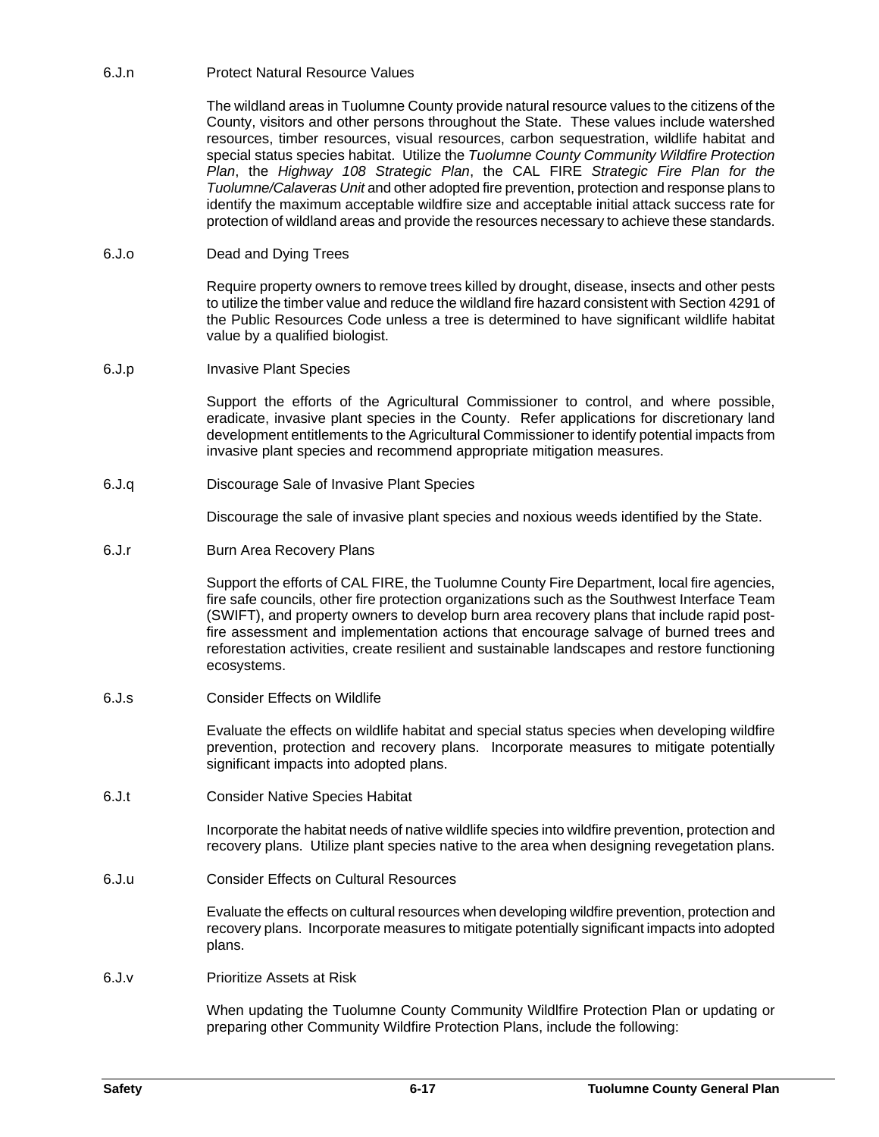6.J.n Protect Natural Resource Values

The wildland areas in Tuolumne County provide natural resource values to the citizens of the County, visitors and other persons throughout the State. These values include watershed resources, timber resources, visual resources, carbon sequestration, wildlife habitat and special status species habitat. Utilize the *Tuolumne County Community Wildfire Protection Plan*, the *Highway 108 Strategic Plan*, the CAL FIRE *Strategic Fire Plan for the Tuolumne/Calaveras Unit* and other adopted fire prevention, protection and response plans to identify the maximum acceptable wildfire size and acceptable initial attack success rate for protection of wildland areas and provide the resources necessary to achieve these standards.

## 6.J.o Dead and Dying Trees

Require property owners to remove trees killed by drought, disease, insects and other pests to utilize the timber value and reduce the wildland fire hazard consistent with Section 4291 of the Public Resources Code unless a tree is determined to have significant wildlife habitat value by a qualified biologist.

6.J.p Invasive Plant Species

Support the efforts of the Agricultural Commissioner to control, and where possible, eradicate, invasive plant species in the County. Refer applications for discretionary land development entitlements to the Agricultural Commissioner to identify potential impacts from invasive plant species and recommend appropriate mitigation measures.

6.J.q Discourage Sale of Invasive Plant Species

Discourage the sale of invasive plant species and noxious weeds identified by the State.

6.J.r Burn Area Recovery Plans

Support the efforts of CAL FIRE, the Tuolumne County Fire Department, local fire agencies, fire safe councils, other fire protection organizations such as the Southwest Interface Team (SWIFT), and property owners to develop burn area recovery plans that include rapid postfire assessment and implementation actions that encourage salvage of burned trees and reforestation activities, create resilient and sustainable landscapes and restore functioning ecosystems.

6.J.s Consider Effects on Wildlife

Evaluate the effects on wildlife habitat and special status species when developing wildfire prevention, protection and recovery plans. Incorporate measures to mitigate potentially significant impacts into adopted plans.

6.J.t Consider Native Species Habitat

Incorporate the habitat needs of native wildlife species into wildfire prevention, protection and recovery plans. Utilize plant species native to the area when designing revegetation plans.

6.J.u Consider Effects on Cultural Resources

Evaluate the effects on cultural resources when developing wildfire prevention, protection and recovery plans. Incorporate measures to mitigate potentially significant impacts into adopted plans.

6.J.v Prioritize Assets at Risk

When updating the Tuolumne County Community Wildlfire Protection Plan or updating or preparing other Community Wildfire Protection Plans, include the following: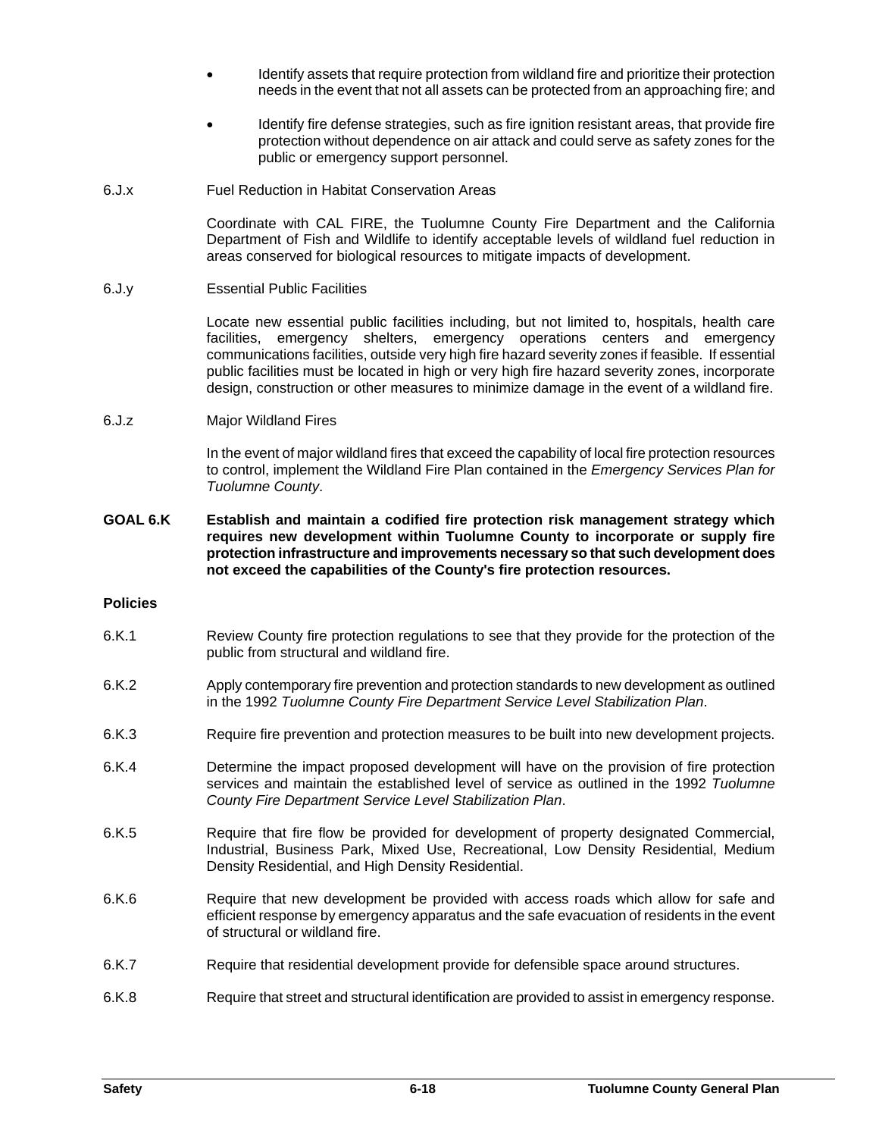- Identify assets that require protection from wildland fire and prioritize their protection needs in the event that not all assets can be protected from an approaching fire; and
- Identify fire defense strategies, such as fire ignition resistant areas, that provide fire protection without dependence on air attack and could serve as safety zones for the public or emergency support personnel.
- 6.J.x Fuel Reduction in Habitat Conservation Areas

Coordinate with CAL FIRE, the Tuolumne County Fire Department and the California Department of Fish and Wildlife to identify acceptable levels of wildland fuel reduction in areas conserved for biological resources to mitigate impacts of development.

6.J.y Essential Public Facilities

Locate new essential public facilities including, but not limited to, hospitals, health care facilities, emergency shelters, emergency operations centers and emergency communications facilities, outside very high fire hazard severity zones if feasible. If essential public facilities must be located in high or very high fire hazard severity zones, incorporate design, construction or other measures to minimize damage in the event of a wildland fire.

6.J.z Major Wildland Fires

In the event of major wildland fires that exceed the capability of local fire protection resources to control, implement the Wildland Fire Plan contained in the *Emergency Services Plan for Tuolumne County*.

**GOAL 6.K Establish and maintain a codified fire protection risk management strategy which requires new development within Tuolumne County to incorporate or supply fire protection infrastructure and improvements necessary so that such development does not exceed the capabilities of the County's fire protection resources.**

## **Policies**

- 6.K.1 Review County fire protection regulations to see that they provide for the protection of the public from structural and wildland fire.
- 6.K.2 Apply contemporary fire prevention and protection standards to new development as outlined in the 1992 *Tuolumne County Fire Department Service Level Stabilization Plan*.
- 6.K.3 Require fire prevention and protection measures to be built into new development projects.
- 6.K.4 Determine the impact proposed development will have on the provision of fire protection services and maintain the established level of service as outlined in the 1992 *Tuolumne County Fire Department Service Level Stabilization Plan*.
- 6.K.5 Require that fire flow be provided for development of property designated Commercial, Industrial, Business Park, Mixed Use, Recreational, Low Density Residential, Medium Density Residential, and High Density Residential.
- 6.K.6 Require that new development be provided with access roads which allow for safe and efficient response by emergency apparatus and the safe evacuation of residents in the event of structural or wildland fire.
- 6.K.7 Require that residential development provide for defensible space around structures.
- 6.K.8 Require that street and structural identification are provided to assist in emergency response.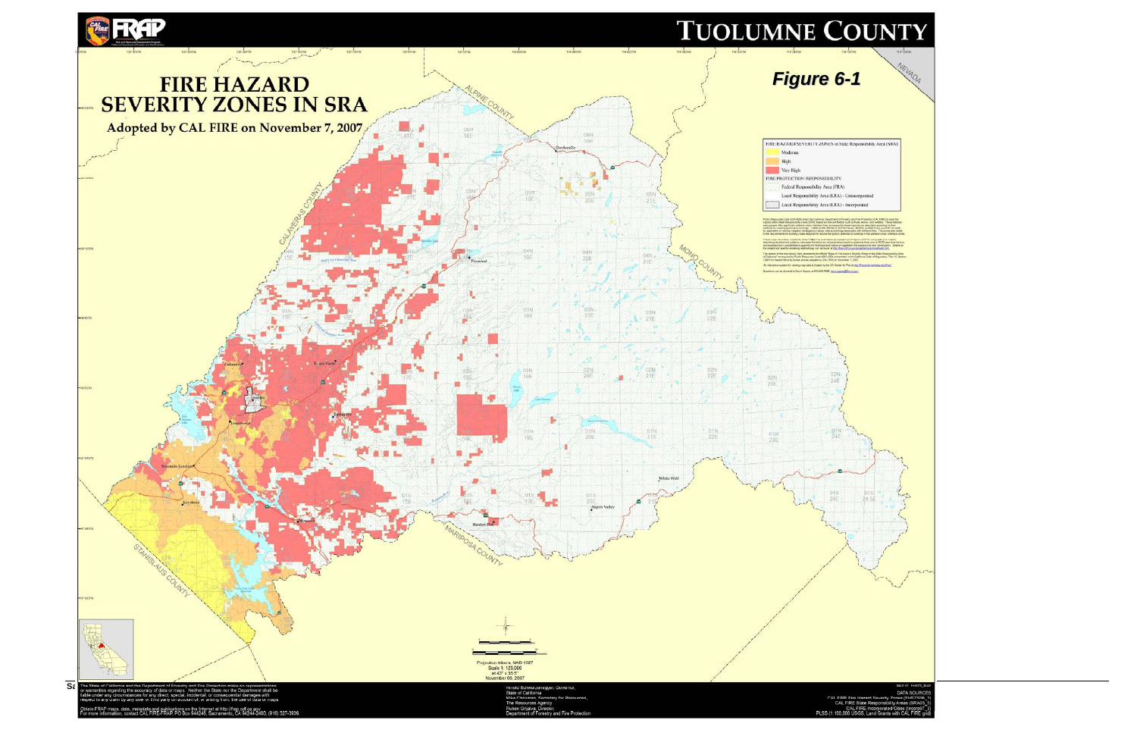

| J                                                                                                                                                                                                                                                                                                                                                                                                                                                                                                                                                                                                                                                                                                                             |
|-------------------------------------------------------------------------------------------------------------------------------------------------------------------------------------------------------------------------------------------------------------------------------------------------------------------------------------------------------------------------------------------------------------------------------------------------------------------------------------------------------------------------------------------------------------------------------------------------------------------------------------------------------------------------------------------------------------------------------|
| 119180W<br>119'120'W                                                                                                                                                                                                                                                                                                                                                                                                                                                                                                                                                                                                                                                                                                          |
| NEVADA<br>$-1$                                                                                                                                                                                                                                                                                                                                                                                                                                                                                                                                                                                                                                                                                                                |
|                                                                                                                                                                                                                                                                                                                                                                                                                                                                                                                                                                                                                                                                                                                               |
|                                                                                                                                                                                                                                                                                                                                                                                                                                                                                                                                                                                                                                                                                                                               |
| in State Responsibility Area (SRA)                                                                                                                                                                                                                                                                                                                                                                                                                                                                                                                                                                                                                                                                                            |
| TY<br>FRA)<br><b>(A)</b> - Unincorporated                                                                                                                                                                                                                                                                                                                                                                                                                                                                                                                                                                                                                                                                                     |
| (A) - Incorporated                                                                                                                                                                                                                                                                                                                                                                                                                                                                                                                                                                                                                                                                                                            |
| ent of Forwahy and Five Protection (CAL FIRE) to map five<br>If factors such as flush, family and used well for Theas station<br>spently these hazards are described according to their<br>to as Five Hosterial Serverly Zones/FHSS, pr<br>e Assessment Program (FRAP) using data and models<br>pristos tassed on potential fusits over a 30-00 year firme horizon<br>we of vegetation fire explosure to new construction. Oetails on<br>to three out on programs three are almest<br>of Fire Hazard Seventy Zones in the State Responsibility Area<br>nd entitled in the California Code of Regulation, Title 14, Section<br>in November 7, 2007<br>Denter for Fire at http://firecenter.beckning.eduffcaat.<br>caso distant |
|                                                                                                                                                                                                                                                                                                                                                                                                                                                                                                                                                                                                                                                                                                                               |
| <b>Contract State</b><br>N)                                                                                                                                                                                                                                                                                                                                                                                                                                                                                                                                                                                                                                                                                                   |
| įξ                                                                                                                                                                                                                                                                                                                                                                                                                                                                                                                                                                                                                                                                                                                            |
| tN<br>4E                                                                                                                                                                                                                                                                                                                                                                                                                                                                                                                                                                                                                                                                                                                      |
|                                                                                                                                                                                                                                                                                                                                                                                                                                                                                                                                                                                                                                                                                                                               |
| 01S<br>24.5E<br>m is                                                                                                                                                                                                                                                                                                                                                                                                                                                                                                                                                                                                                                                                                                          |
|                                                                                                                                                                                                                                                                                                                                                                                                                                                                                                                                                                                                                                                                                                                               |
|                                                                                                                                                                                                                                                                                                                                                                                                                                                                                                                                                                                                                                                                                                                               |
|                                                                                                                                                                                                                                                                                                                                                                                                                                                                                                                                                                                                                                                                                                                               |
|                                                                                                                                                                                                                                                                                                                                                                                                                                                                                                                                                                                                                                                                                                                               |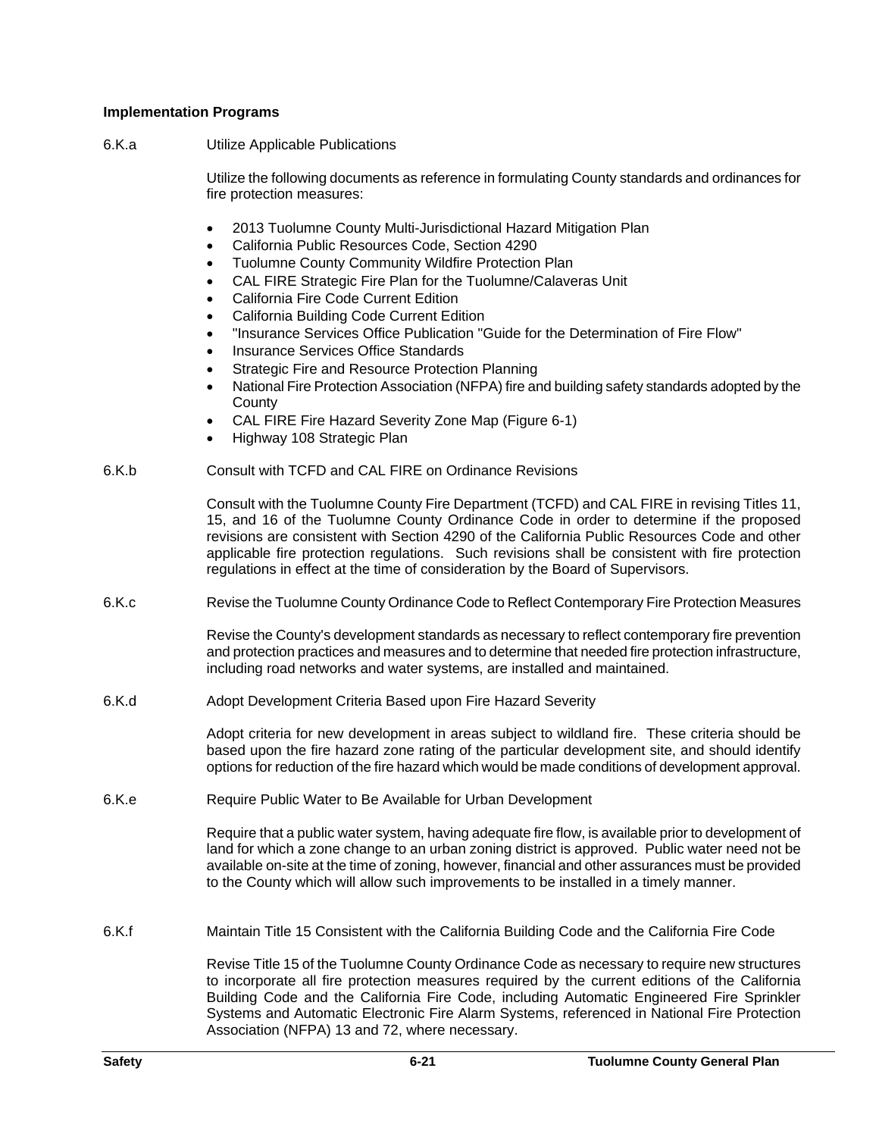## **Implementation Programs**

6.K.a Utilize Applicable Publications

Utilize the following documents as reference in formulating County standards and ordinances for fire protection measures:

- 2013 Tuolumne County Multi-Jurisdictional Hazard Mitigation Plan
- California Public Resources Code, Section 4290
- Tuolumne County Community Wildfire Protection Plan
- CAL FIRE Strategic Fire Plan for the Tuolumne/Calaveras Unit
- California Fire Code Current Edition
- California Building Code Current Edition
- "Insurance Services Office Publication "Guide for the Determination of Fire Flow"
- Insurance Services Office Standards
- Strategic Fire and Resource Protection Planning
- National Fire Protection Association (NFPA) fire and building safety standards adopted by the **County**
- CAL FIRE Fire Hazard Severity Zone Map (Figure 6-1)
- Highway 108 Strategic Plan
- 6.K.b Consult with TCFD and CAL FIRE on Ordinance Revisions

Consult with the Tuolumne County Fire Department (TCFD) and CAL FIRE in revising Titles 11, 15, and 16 of the Tuolumne County Ordinance Code in order to determine if the proposed revisions are consistent with Section 4290 of the California Public Resources Code and other applicable fire protection regulations. Such revisions shall be consistent with fire protection regulations in effect at the time of consideration by the Board of Supervisors.

6.K.c Revise the Tuolumne County Ordinance Code to Reflect Contemporary Fire Protection Measures

Revise the County's development standards as necessary to reflect contemporary fire prevention and protection practices and measures and to determine that needed fire protection infrastructure, including road networks and water systems, are installed and maintained.

6.K.d Adopt Development Criteria Based upon Fire Hazard Severity

Adopt criteria for new development in areas subject to wildland fire. These criteria should be based upon the fire hazard zone rating of the particular development site, and should identify options for reduction of the fire hazard which would be made conditions of development approval.

6.K.e Require Public Water to Be Available for Urban Development

Require that a public water system, having adequate fire flow, is available prior to development of land for which a zone change to an urban zoning district is approved. Public water need not be available on-site at the time of zoning, however, financial and other assurances must be provided to the County which will allow such improvements to be installed in a timely manner.

6.K.f Maintain Title 15 Consistent with the California Building Code and the California Fire Code

Revise Title 15 of the Tuolumne County Ordinance Code as necessary to require new structures to incorporate all fire protection measures required by the current editions of the California Building Code and the California Fire Code, including Automatic Engineered Fire Sprinkler Systems and Automatic Electronic Fire Alarm Systems, referenced in National Fire Protection Association (NFPA) 13 and 72, where necessary.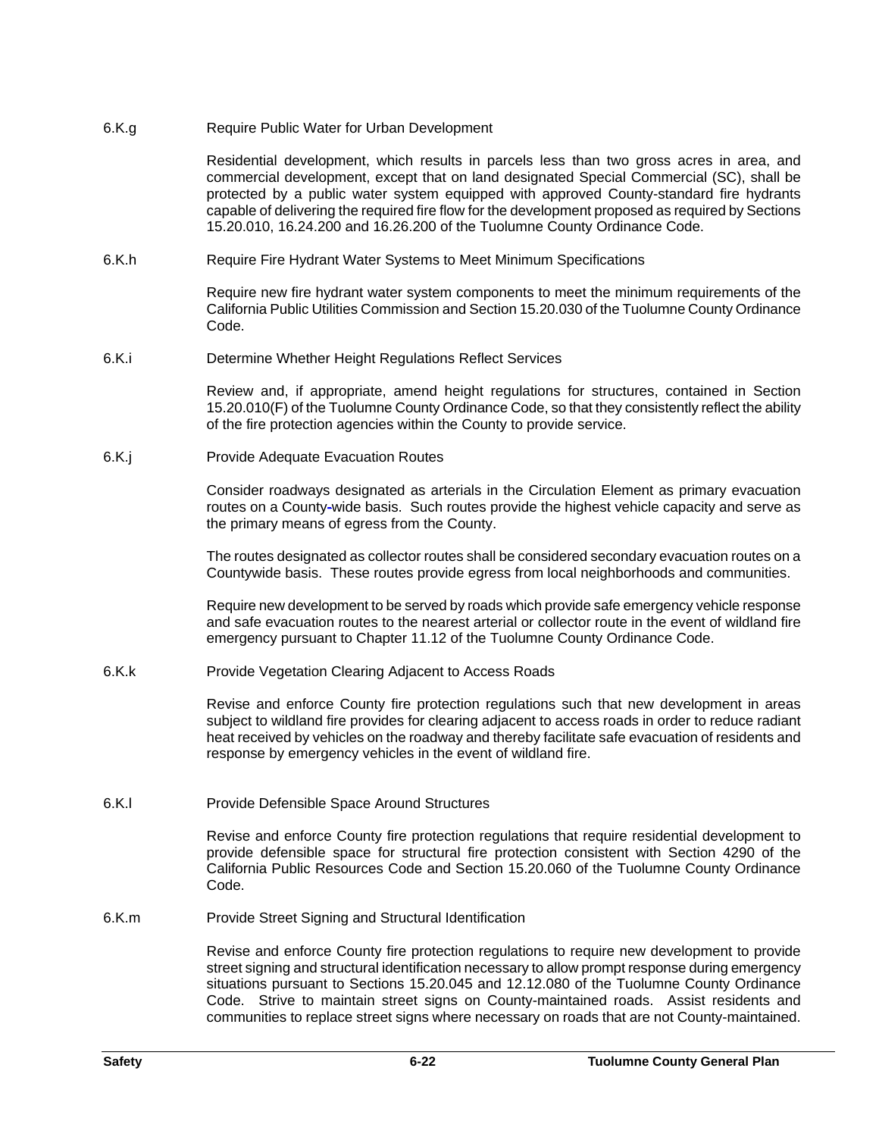## 6.K.g Require Public Water for Urban Development

Residential development, which results in parcels less than two gross acres in area, and commercial development, except that on land designated Special Commercial (SC), shall be protected by a public water system equipped with approved County-standard fire hydrants capable of delivering the required fire flow for the development proposed as required by Sections 15.20.010, 16.24.200 and 16.26.200 of the Tuolumne County Ordinance Code.

6.K.h Require Fire Hydrant Water Systems to Meet Minimum Specifications

Require new fire hydrant water system components to meet the minimum requirements of the California Public Utilities Commission and Section 15.20.030 of the Tuolumne County Ordinance Code.

6.K.i Determine Whether Height Regulations Reflect Services

Review and, if appropriate, amend height regulations for structures, contained in Section 15.20.010(F) of the Tuolumne County Ordinance Code, so that they consistently reflect the ability of the fire protection agencies within the County to provide service.

6.K.j Provide Adequate Evacuation Routes

Consider roadways designated as arterials in the Circulation Element as primary evacuation routes on a County**-**wide basis. Such routes provide the highest vehicle capacity and serve as the primary means of egress from the County.

The routes designated as collector routes shall be considered secondary evacuation routes on a Countywide basis. These routes provide egress from local neighborhoods and communities.

Require new development to be served by roads which provide safe emergency vehicle response and safe evacuation routes to the nearest arterial or collector route in the event of wildland fire emergency pursuant to Chapter 11.12 of the Tuolumne County Ordinance Code.

6.K.k Provide Vegetation Clearing Adjacent to Access Roads

Revise and enforce County fire protection regulations such that new development in areas subject to wildland fire provides for clearing adjacent to access roads in order to reduce radiant heat received by vehicles on the roadway and thereby facilitate safe evacuation of residents and response by emergency vehicles in the event of wildland fire.

6.K.l Provide Defensible Space Around Structures

Revise and enforce County fire protection regulations that require residential development to provide defensible space for structural fire protection consistent with Section 4290 of the California Public Resources Code and Section 15.20.060 of the Tuolumne County Ordinance Code.

6.K.m Provide Street Signing and Structural Identification

Revise and enforce County fire protection regulations to require new development to provide street signing and structural identification necessary to allow prompt response during emergency situations pursuant to Sections 15.20.045 and 12.12.080 of the Tuolumne County Ordinance Code. Strive to maintain street signs on County-maintained roads. Assist residents and communities to replace street signs where necessary on roads that are not County-maintained.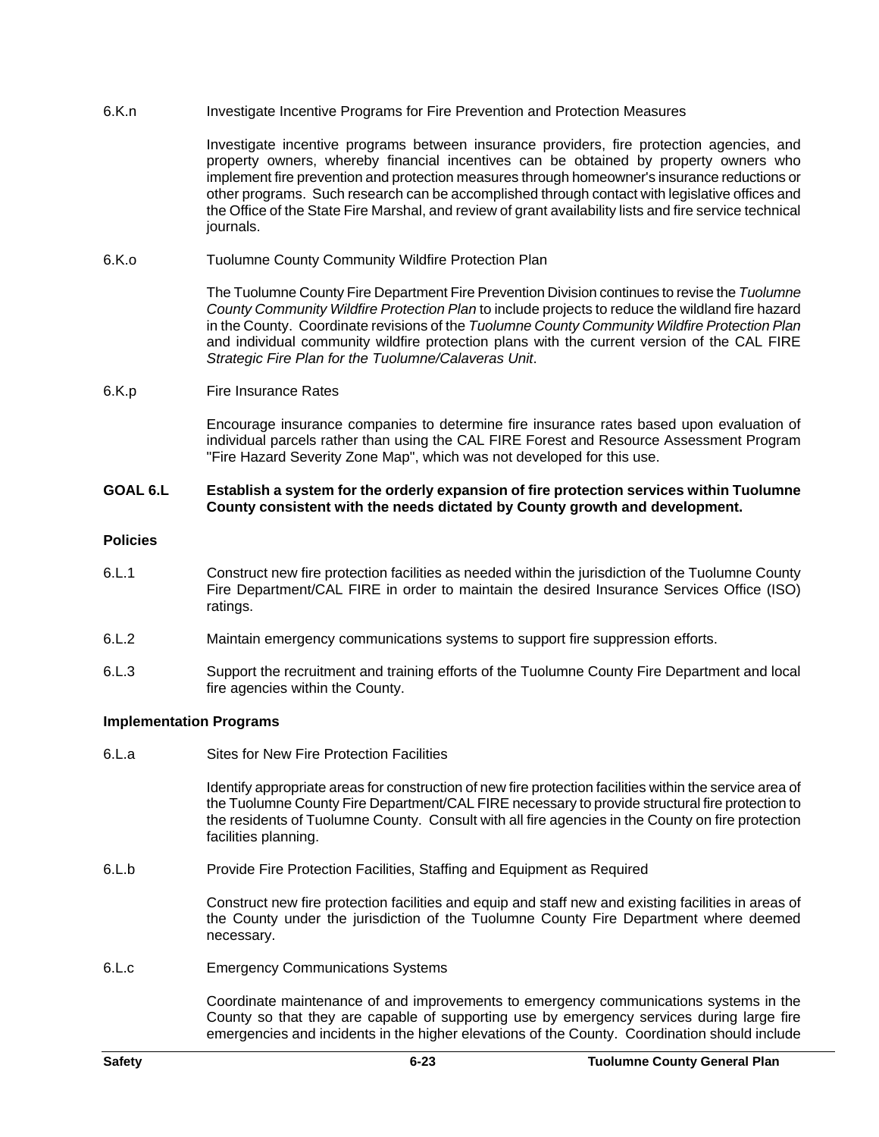6.K.n **Investigate Incentive Programs for Fire Prevention and Protection Measures** 

Investigate incentive programs between insurance providers, fire protection agencies, and property owners, whereby financial incentives can be obtained by property owners who implement fire prevention and protection measures through homeowner's insurance reductions or other programs. Such research can be accomplished through contact with legislative offices and the Office of the State Fire Marshal, and review of grant availability lists and fire service technical journals.

6.K.o Tuolumne County Community Wildfire Protection Plan

The Tuolumne County Fire Department Fire Prevention Division continues to revise the *Tuolumne County Community Wildfire Protection Plan* to include projects to reduce the wildland fire hazard in the County. Coordinate revisions of the *Tuolumne County Community Wildfire Protection Plan* and individual community wildfire protection plans with the current version of the CAL FIRE *Strategic Fire Plan for the Tuolumne/Calaveras Unit*.

6.K.p Fire Insurance Rates

Encourage insurance companies to determine fire insurance rates based upon evaluation of individual parcels rather than using the CAL FIRE Forest and Resource Assessment Program "Fire Hazard Severity Zone Map", which was not developed for this use.

## **GOAL 6.L Establish a system for the orderly expansion of fire protection services within Tuolumne County consistent with the needs dictated by County growth and development.**

## **Policies**

- 6.L.1 Construct new fire protection facilities as needed within the jurisdiction of the Tuolumne County Fire Department/CAL FIRE in order to maintain the desired Insurance Services Office (ISO) ratings.
- 6.L.2 Maintain emergency communications systems to support fire suppression efforts.
- 6.L.3 Support the recruitment and training efforts of the Tuolumne County Fire Department and local fire agencies within the County.

## **Implementation Programs**

6.L.a Sites for New Fire Protection Facilities

Identify appropriate areas for construction of new fire protection facilities within the service area of the Tuolumne County Fire Department/CAL FIRE necessary to provide structural fire protection to the residents of Tuolumne County. Consult with all fire agencies in the County on fire protection facilities planning.

6.L.b Provide Fire Protection Facilities, Staffing and Equipment as Required

Construct new fire protection facilities and equip and staff new and existing facilities in areas of the County under the jurisdiction of the Tuolumne County Fire Department where deemed necessary.

6.L.c Emergency Communications Systems

Coordinate maintenance of and improvements to emergency communications systems in the County so that they are capable of supporting use by emergency services during large fire emergencies and incidents in the higher elevations of the County. Coordination should include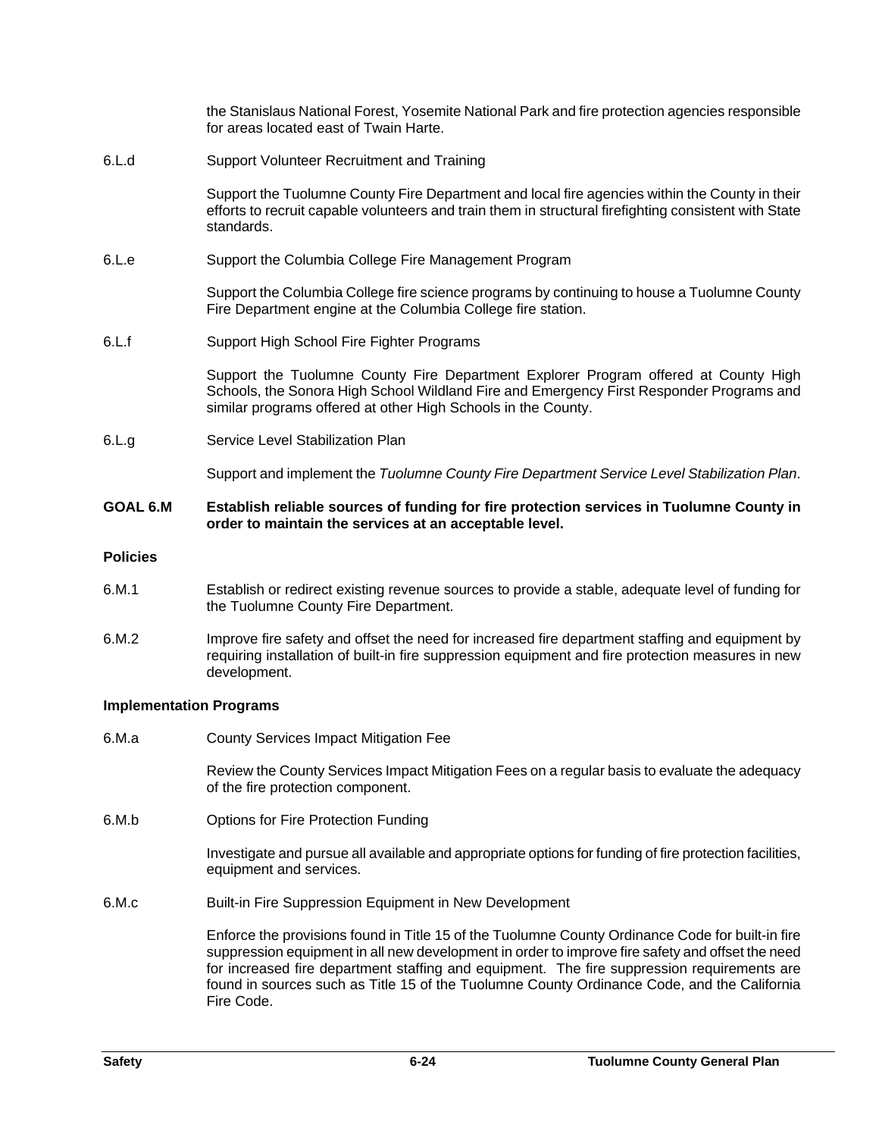the Stanislaus National Forest, Yosemite National Park and fire protection agencies responsible for areas located east of Twain Harte.

6.L.d Support Volunteer Recruitment and Training

Support the Tuolumne County Fire Department and local fire agencies within the County in their efforts to recruit capable volunteers and train them in structural firefighting consistent with State standards.

6.L.e Support the Columbia College Fire Management Program

Support the Columbia College fire science programs by continuing to house a Tuolumne County Fire Department engine at the Columbia College fire station.

6.L.f Support High School Fire Fighter Programs

Support the Tuolumne County Fire Department Explorer Program offered at County High Schools, the Sonora High School Wildland Fire and Emergency First Responder Programs and similar programs offered at other High Schools in the County.

6.L.g Service Level Stabilization Plan

Support and implement the *Tuolumne County Fire Department Service Level Stabilization Plan*.

## **GOAL 6.M Establish reliable sources of funding for fire protection services in Tuolumne County in order to maintain the services at an acceptable level.**

## **Policies**

- 6.M.1 Establish or redirect existing revenue sources to provide a stable, adequate level of funding for the Tuolumne County Fire Department.
- 6.M.2 Improve fire safety and offset the need for increased fire department staffing and equipment by requiring installation of built-in fire suppression equipment and fire protection measures in new development.

## **Implementation Programs**

6.M.a County Services Impact Mitigation Fee

Review the County Services Impact Mitigation Fees on a regular basis to evaluate the adequacy of the fire protection component.

6.M.b Options for Fire Protection Funding

Investigate and pursue all available and appropriate options for funding of fire protection facilities, equipment and services.

6.M.c Built-in Fire Suppression Equipment in New Development

Enforce the provisions found in Title 15 of the Tuolumne County Ordinance Code for built-in fire suppression equipment in all new development in order to improve fire safety and offset the need for increased fire department staffing and equipment. The fire suppression requirements are found in sources such as Title 15 of the Tuolumne County Ordinance Code, and the California Fire Code.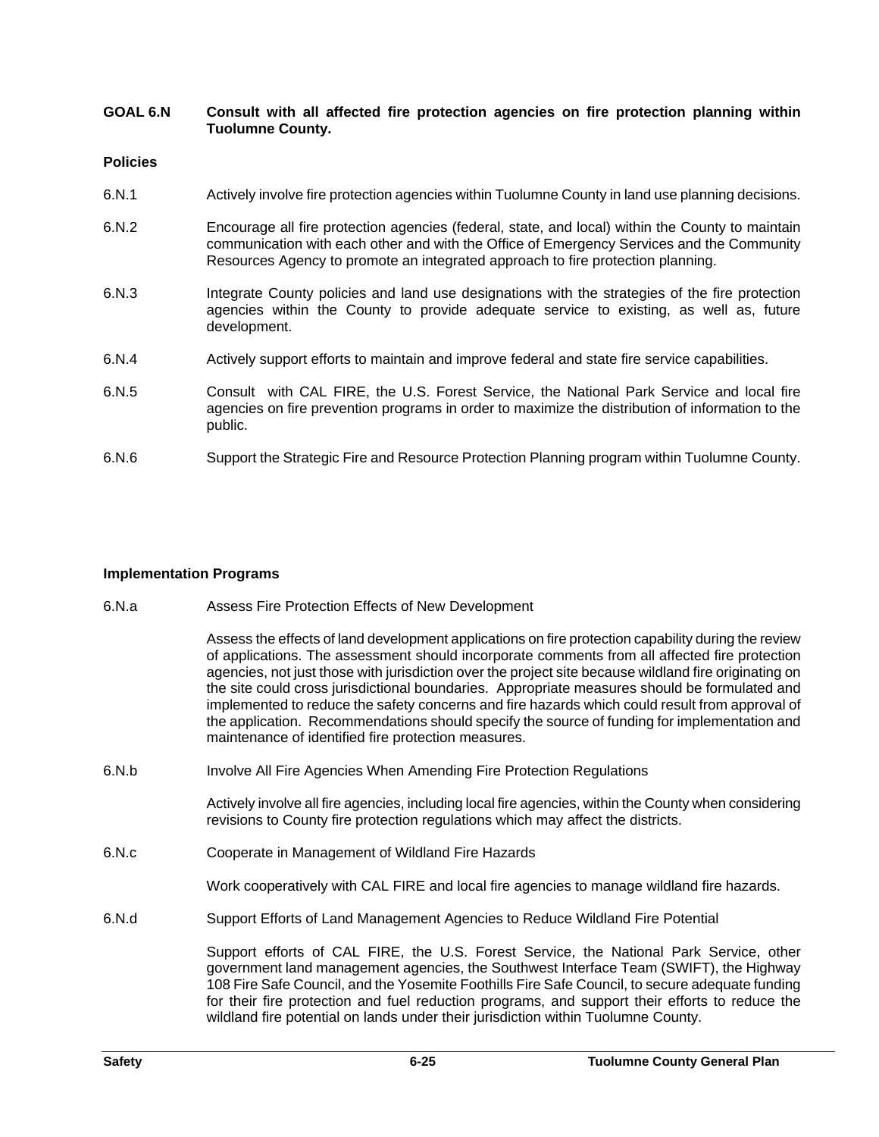## **GOAL 6.N Consult with all affected fire protection agencies on fire protection planning within Tuolumne County.**

## **Policies**

- 6.N.1 **Actively involve fire protection agencies within Tuolumne County in land use planning decisions.**
- 6.N.2 Encourage all fire protection agencies (federal, state, and local) within the County to maintain communication with each other and with the Office of Emergency Services and the Community Resources Agency to promote an integrated approach to fire protection planning.
- 6.N.3 Integrate County policies and land use designations with the strategies of the fire protection agencies within the County to provide adequate service to existing, as well as, future development.
- 6.N.4 **Actively support efforts to maintain and improve federal and state fire service capabilities.**
- 6.N.5 Consult with CAL FIRE, the U.S. Forest Service, the National Park Service and local fire agencies on fire prevention programs in order to maximize the distribution of information to the public.
- 6.N.6 Support the Strategic Fire and Resource Protection Planning program within Tuolumne County.

## **Implementation Programs**

- 6.N.a Assess Fire Protection Effects of New Development
	- Assess the effects of land development applications on fire protection capability during the review of applications. The assessment should incorporate comments from all affected fire protection agencies, not just those with jurisdiction over the project site because wildland fire originating on the site could cross jurisdictional boundaries. Appropriate measures should be formulated and implemented to reduce the safety concerns and fire hazards which could result from approval of the application. Recommendations should specify the source of funding for implementation and maintenance of identified fire protection measures.
- 6.N.b Involve All Fire Agencies When Amending Fire Protection Regulations

Actively involve all fire agencies, including local fire agencies, within the County when considering revisions to County fire protection regulations which may affect the districts.

6.N.c Cooperate in Management of Wildland Fire Hazards

Work cooperatively with CAL FIRE and local fire agencies to manage wildland fire hazards.

6.N.d Support Efforts of Land Management Agencies to Reduce Wildland Fire Potential

Support efforts of CAL FIRE, the U.S. Forest Service, the National Park Service, other government land management agencies, the Southwest Interface Team (SWIFT), the Highway 108 Fire Safe Council, and the Yosemite Foothills Fire Safe Council, to secure adequate funding for their fire protection and fuel reduction programs, and support their efforts to reduce the wildland fire potential on lands under their jurisdiction within Tuolumne County.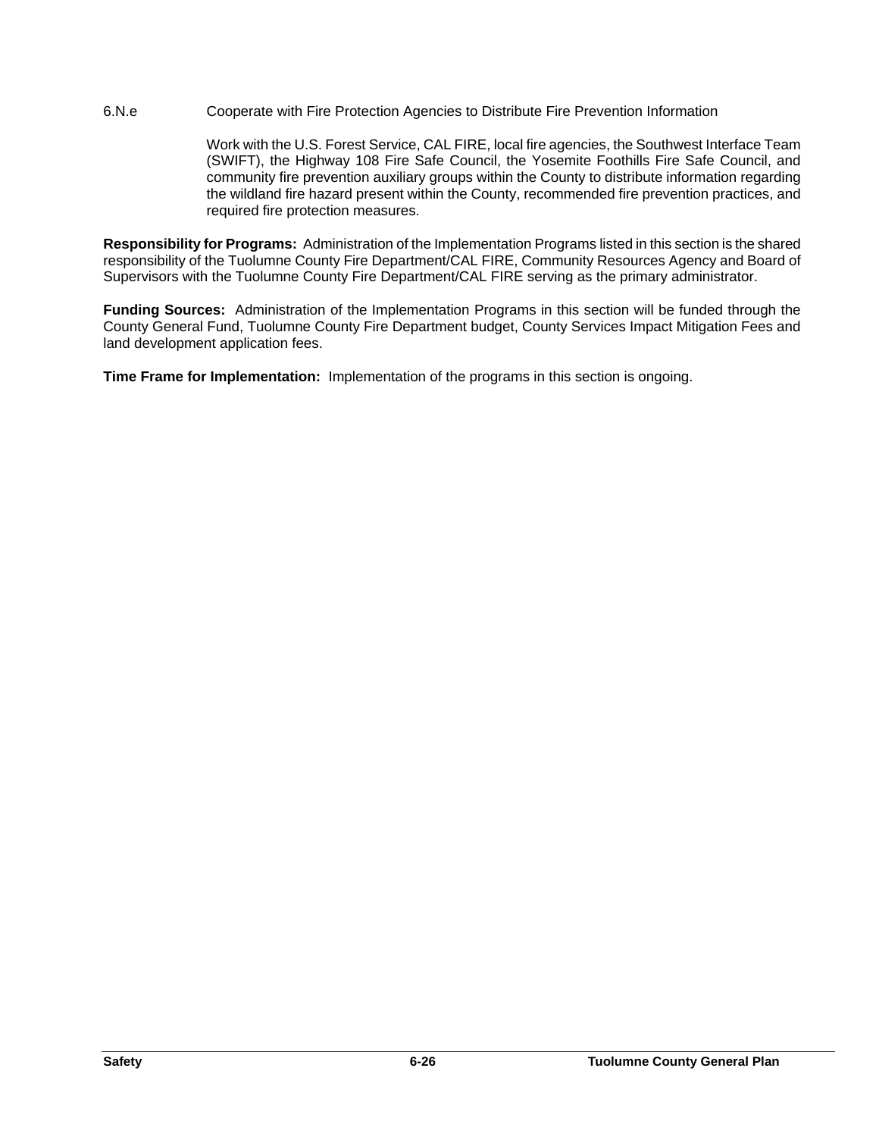## 6.N.e Cooperate with Fire Protection Agencies to Distribute Fire Prevention Information

Work with the U.S. Forest Service, CAL FIRE, local fire agencies, the Southwest Interface Team (SWIFT), the Highway 108 Fire Safe Council, the Yosemite Foothills Fire Safe Council, and community fire prevention auxiliary groups within the County to distribute information regarding the wildland fire hazard present within the County, recommended fire prevention practices, and required fire protection measures.

**Responsibility for Programs:** Administration of the Implementation Programs listed in this section is the shared responsibility of the Tuolumne County Fire Department/CAL FIRE, Community Resources Agency and Board of Supervisors with the Tuolumne County Fire Department/CAL FIRE serving as the primary administrator.

**Funding Sources:** Administration of the Implementation Programs in this section will be funded through the County General Fund, Tuolumne County Fire Department budget, County Services Impact Mitigation Fees and land development application fees.

**Time Frame for Implementation:** Implementation of the programs in this section is ongoing.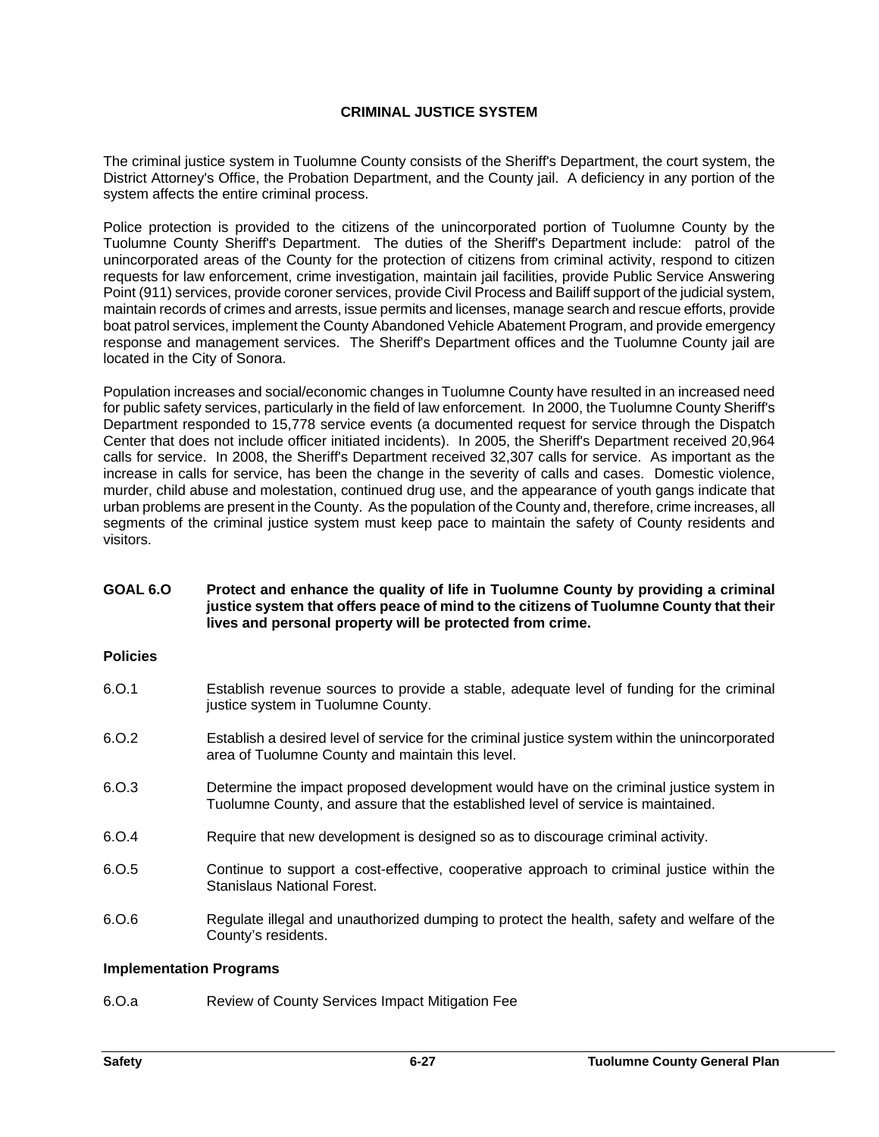## **CRIMINAL JUSTICE SYSTEM**

The criminal justice system in Tuolumne County consists of the Sheriff's Department, the court system, the District Attorney's Office, the Probation Department, and the County jail. A deficiency in any portion of the system affects the entire criminal process.

Police protection is provided to the citizens of the unincorporated portion of Tuolumne County by the Tuolumne County Sheriff's Department. The duties of the Sheriff's Department include: patrol of the unincorporated areas of the County for the protection of citizens from criminal activity, respond to citizen requests for law enforcement, crime investigation, maintain jail facilities, provide Public Service Answering Point (911) services, provide coroner services, provide Civil Process and Bailiff support of the judicial system, maintain records of crimes and arrests, issue permits and licenses, manage search and rescue efforts, provide boat patrol services, implement the County Abandoned Vehicle Abatement Program, and provide emergency response and management services. The Sheriff's Department offices and the Tuolumne County jail are located in the City of Sonora.

Population increases and social/economic changes in Tuolumne County have resulted in an increased need for public safety services, particularly in the field of law enforcement. In 2000, the Tuolumne County Sheriff's Department responded to 15,778 service events (a documented request for service through the Dispatch Center that does not include officer initiated incidents). In 2005, the Sheriff's Department received 20,964 calls for service. In 2008, the Sheriff's Department received 32,307 calls for service. As important as the increase in calls for service, has been the change in the severity of calls and cases. Domestic violence, murder, child abuse and molestation, continued drug use, and the appearance of youth gangs indicate that urban problems are present in the County. As the population of the County and, therefore, crime increases, all segments of the criminal justice system must keep pace to maintain the safety of County residents and visitors.

## **GOAL 6.O Protect and enhance the quality of life in Tuolumne County by providing a criminal justice system that offers peace of mind to the citizens of Tuolumne County that their lives and personal property will be protected from crime.**

## **Policies**

- 6.O.1 Establish revenue sources to provide a stable, adequate level of funding for the criminal justice system in Tuolumne County.
- 6.O.2 Establish a desired level of service for the criminal justice system within the unincorporated area of Tuolumne County and maintain this level.
- 6.O.3 Determine the impact proposed development would have on the criminal justice system in Tuolumne County, and assure that the established level of service is maintained.
- 6.O.4 Require that new development is designed so as to discourage criminal activity.
- 6.O.5 Continue to support a cost-effective, cooperative approach to criminal justice within the Stanislaus National Forest.
- 6.O.6 Regulate illegal and unauthorized dumping to protect the health, safety and welfare of the County's residents.

## **Implementation Programs**

6.O.a Review of County Services Impact Mitigation Fee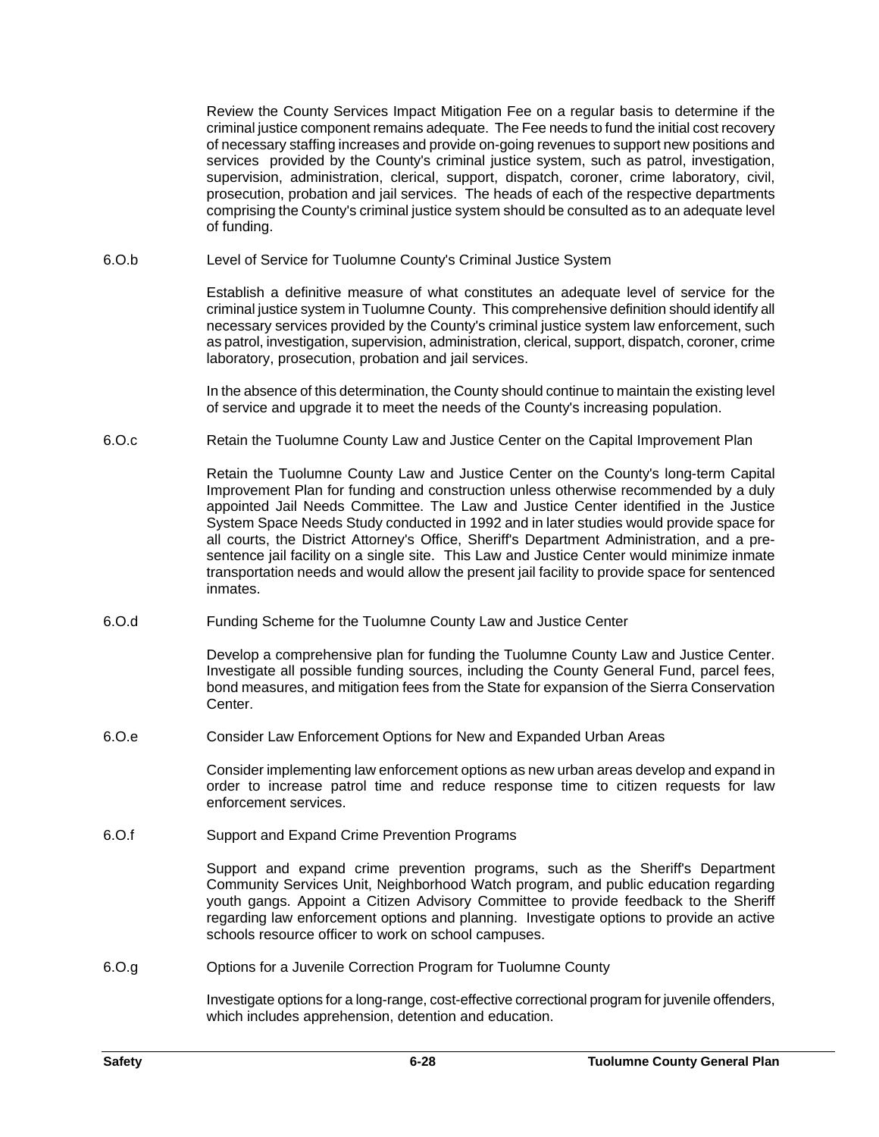Review the County Services Impact Mitigation Fee on a regular basis to determine if the criminal justice component remains adequate. The Fee needs to fund the initial cost recovery of necessary staffing increases and provide on-going revenues to support new positions and services provided by the County's criminal justice system, such as patrol, investigation, supervision, administration, clerical, support, dispatch, coroner, crime laboratory, civil, prosecution, probation and jail services. The heads of each of the respective departments comprising the County's criminal justice system should be consulted as to an adequate level of funding.

6.O.b Level of Service for Tuolumne County's Criminal Justice System

Establish a definitive measure of what constitutes an adequate level of service for the criminal justice system in Tuolumne County. This comprehensive definition should identify all necessary services provided by the County's criminal justice system law enforcement, such as patrol, investigation, supervision, administration, clerical, support, dispatch, coroner, crime laboratory, prosecution, probation and jail services.

In the absence of this determination, the County should continue to maintain the existing level of service and upgrade it to meet the needs of the County's increasing population.

6.O.c Retain the Tuolumne County Law and Justice Center on the Capital Improvement Plan

Retain the Tuolumne County Law and Justice Center on the County's long-term Capital Improvement Plan for funding and construction unless otherwise recommended by a duly appointed Jail Needs Committee. The Law and Justice Center identified in the Justice System Space Needs Study conducted in 1992 and in later studies would provide space for all courts, the District Attorney's Office, Sheriff's Department Administration, and a presentence jail facility on a single site. This Law and Justice Center would minimize inmate transportation needs and would allow the present jail facility to provide space for sentenced inmates.

6.O.d Funding Scheme for the Tuolumne County Law and Justice Center

Develop a comprehensive plan for funding the Tuolumne County Law and Justice Center. Investigate all possible funding sources, including the County General Fund, parcel fees, bond measures, and mitigation fees from the State for expansion of the Sierra Conservation Center.

6.O.e Consider Law Enforcement Options for New and Expanded Urban Areas

Consider implementing law enforcement options as new urban areas develop and expand in order to increase patrol time and reduce response time to citizen requests for law enforcement services.

6.O.f Support and Expand Crime Prevention Programs

Support and expand crime prevention programs, such as the Sheriff's Department Community Services Unit, Neighborhood Watch program, and public education regarding youth gangs. Appoint a Citizen Advisory Committee to provide feedback to the Sheriff regarding law enforcement options and planning. Investigate options to provide an active schools resource officer to work on school campuses.

6.O.g Options for a Juvenile Correction Program for Tuolumne County

Investigate options for a long-range, cost-effective correctional program for juvenile offenders, which includes apprehension, detention and education.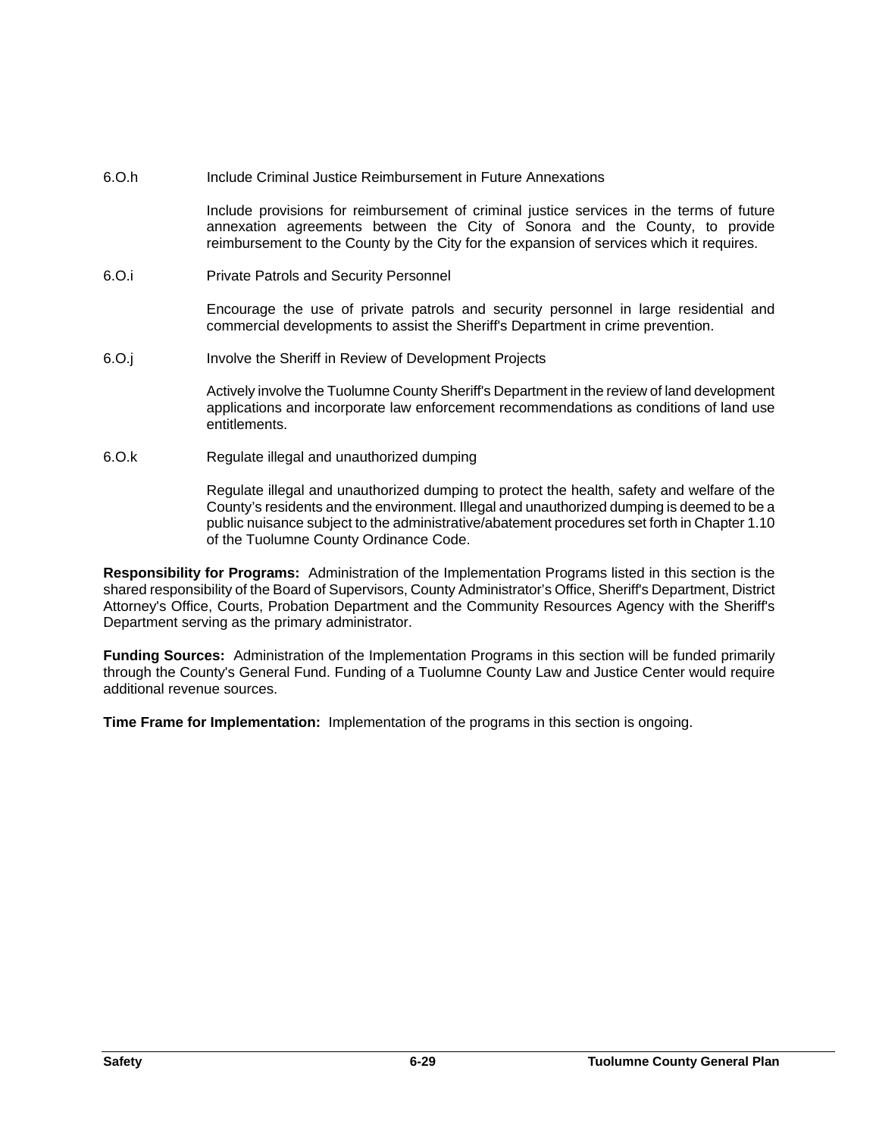6.O.h Include Criminal Justice Reimbursement in Future Annexations

Include provisions for reimbursement of criminal justice services in the terms of future annexation agreements between the City of Sonora and the County, to provide reimbursement to the County by the City for the expansion of services which it requires.

6.O.i Private Patrols and Security Personnel

Encourage the use of private patrols and security personnel in large residential and commercial developments to assist the Sheriff's Department in crime prevention.

6.O.j Involve the Sheriff in Review of Development Projects

Actively involve the Tuolumne County Sheriff's Department in the review of land development applications and incorporate law enforcement recommendations as conditions of land use entitlements.

6.O.kRegulate illegal and unauthorized dumping

Regulate illegal and unauthorized dumping to protect the health, safety and welfare of the County's residents and the environment. Illegal and unauthorized dumping is deemed to be a public nuisance subject to the administrative/abatement procedures set forth in Chapter 1.10 of the Tuolumne County Ordinance Code.

**Responsibility for Programs:** Administration of the Implementation Programs listed in this section is the shared responsibility of the Board of Supervisors, County Administrator's Office, Sheriff's Department, District Attorney's Office, Courts, Probation Department and the Community Resources Agency with the Sheriff's Department serving as the primary administrator.

**Funding Sources:** Administration of the Implementation Programs in this section will be funded primarily through the County's General Fund. Funding of a Tuolumne County Law and Justice Center would require additional revenue sources.

**Time Frame for Implementation:** Implementation of the programs in this section is ongoing.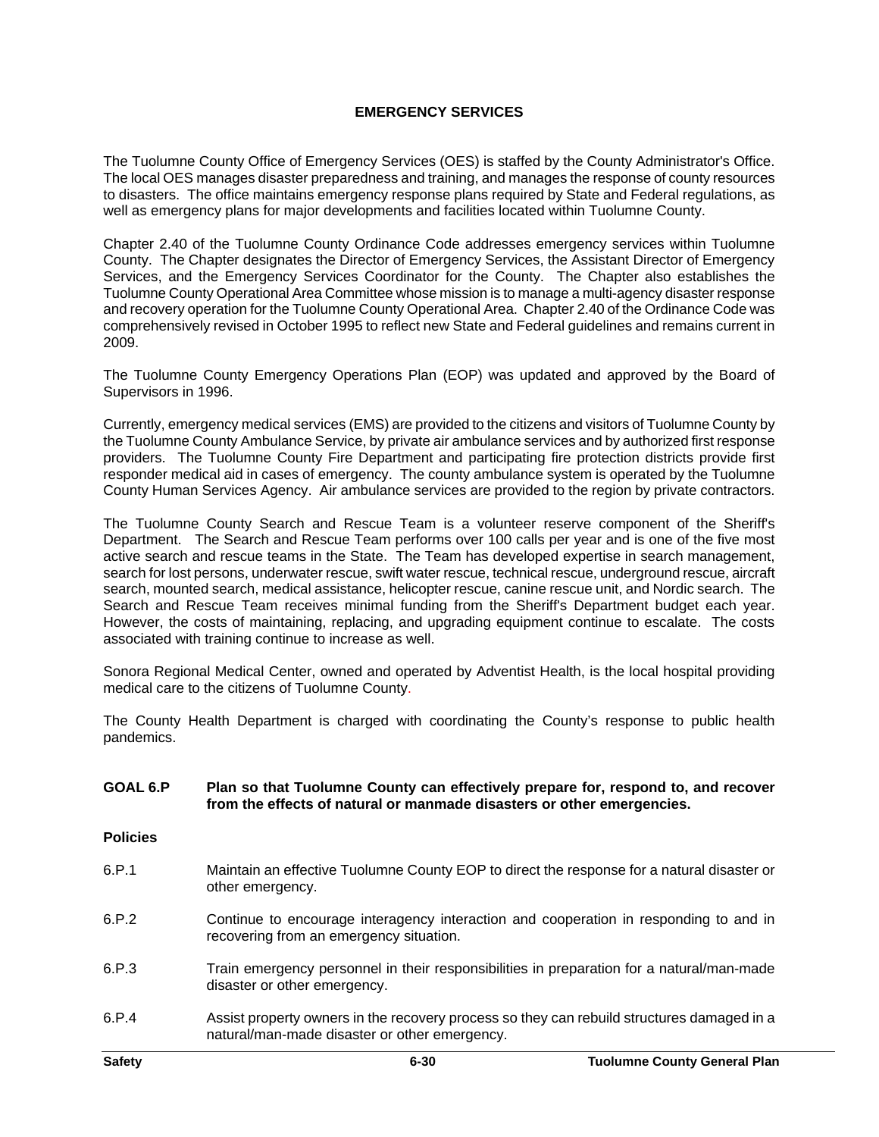## **EMERGENCY SERVICES**

The Tuolumne County Office of Emergency Services (OES) is staffed by the County Administrator's Office. The local OES manages disaster preparedness and training, and manages the response of county resources to disasters. The office maintains emergency response plans required by State and Federal regulations, as well as emergency plans for major developments and facilities located within Tuolumne County.

Chapter 2.40 of the Tuolumne County Ordinance Code addresses emergency services within Tuolumne County. The Chapter designates the Director of Emergency Services, the Assistant Director of Emergency Services, and the Emergency Services Coordinator for the County. The Chapter also establishes the Tuolumne County Operational Area Committee whose mission is to manage a multi-agency disaster response and recovery operation for the Tuolumne County Operational Area. Chapter 2.40 of the Ordinance Code was comprehensively revised in October 1995 to reflect new State and Federal guidelines and remains current in 2009.

The Tuolumne County Emergency Operations Plan (EOP) was updated and approved by the Board of Supervisors in 1996.

Currently, emergency medical services (EMS) are provided to the citizens and visitors of Tuolumne County by the Tuolumne County Ambulance Service, by private air ambulance services and by authorized first response providers. The Tuolumne County Fire Department and participating fire protection districts provide first responder medical aid in cases of emergency. The county ambulance system is operated by the Tuolumne County Human Services Agency. Air ambulance services are provided to the region by private contractors.

The Tuolumne County Search and Rescue Team is a volunteer reserve component of the Sheriff's Department. The Search and Rescue Team performs over 100 calls per year and is one of the five most active search and rescue teams in the State. The Team has developed expertise in search management, search for lost persons, underwater rescue, swift water rescue, technical rescue, underground rescue, aircraft search, mounted search, medical assistance, helicopter rescue, canine rescue unit, and Nordic search. The Search and Rescue Team receives minimal funding from the Sheriff's Department budget each year. However, the costs of maintaining, replacing, and upgrading equipment continue to escalate. The costs associated with training continue to increase as well.

Sonora Regional Medical Center, owned and operated by Adventist Health, is the local hospital providing medical care to the citizens of Tuolumne County.

The County Health Department is charged with coordinating the County's response to public health pandemics.

## **GOAL 6.P Plan so that Tuolumne County can effectively prepare for, respond to, and recover from the effects of natural or manmade disasters or other emergencies.**

**Policies**

- 6.P.1 Maintain an effective Tuolumne County EOP to direct the response for a natural disaster or other emergency.
- 6.P.2 Continue to encourage interagency interaction and cooperation in responding to and in recovering from an emergency situation.
- 6.P.3 Train emergency personnel in their responsibilities in preparation for a natural/man-made disaster or other emergency.
- 6.P.4 Assist property owners in the recovery process so they can rebuild structures damaged in a natural/man-made disaster or other emergency.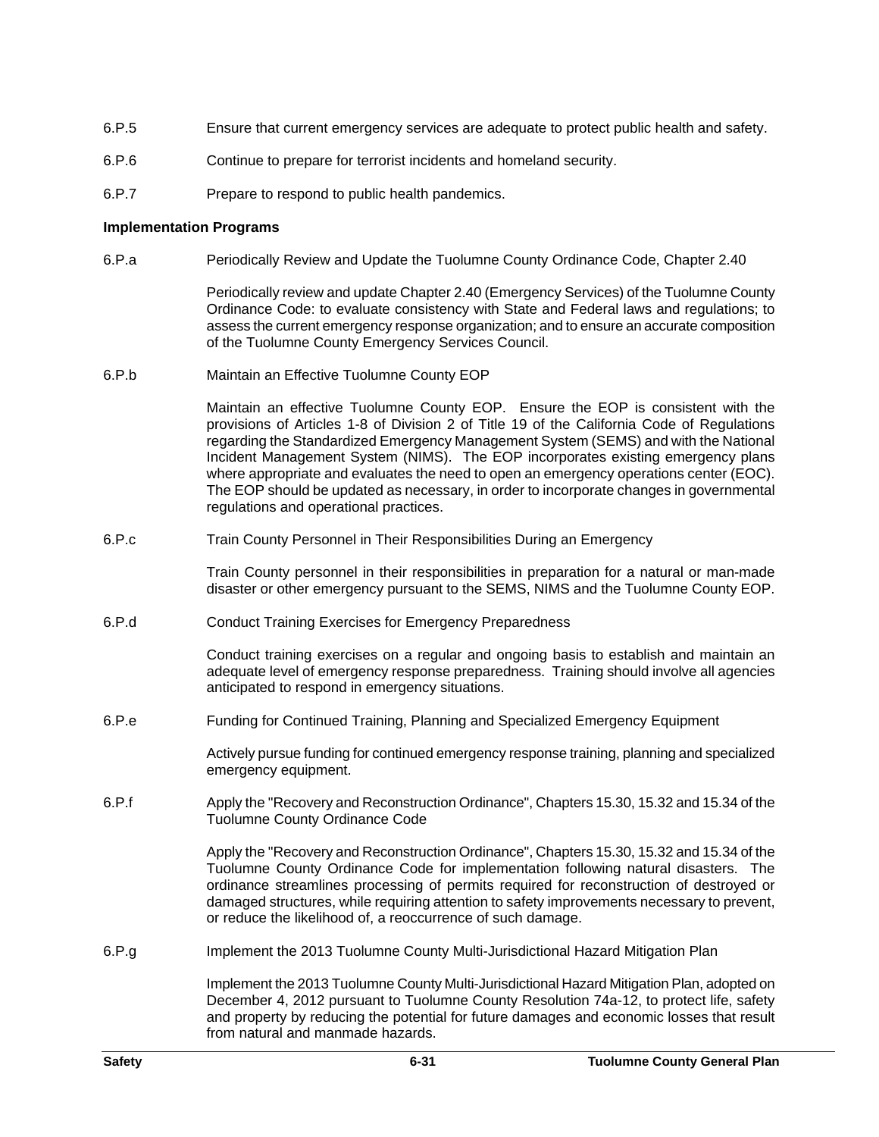- 6.P.5 Ensure that current emergency services are adequate to protect public health and safety.
- 6.P.6 Continue to prepare for terrorist incidents and homeland security.
- 6.P.7 Prepare to respond to public health pandemics.

#### **Implementation Programs**

6.P.a Periodically Review and Update the Tuolumne County Ordinance Code, Chapter 2.40

Periodically review and update Chapter 2.40 (Emergency Services) of the Tuolumne County Ordinance Code: to evaluate consistency with State and Federal laws and regulations; to assess the current emergency response organization; and to ensure an accurate composition of the Tuolumne County Emergency Services Council.

6.P.b Maintain an Effective Tuolumne County EOP

Maintain an effective Tuolumne County EOP. Ensure the EOP is consistent with the provisions of Articles 1-8 of Division 2 of Title 19 of the California Code of Regulations regarding the Standardized Emergency Management System (SEMS) and with the National Incident Management System (NIMS). The EOP incorporates existing emergency plans where appropriate and evaluates the need to open an emergency operations center (EOC). The EOP should be updated as necessary, in order to incorporate changes in governmental regulations and operational practices.

6.P.c Train County Personnel in Their Responsibilities During an Emergency

Train County personnel in their responsibilities in preparation for a natural or man-made disaster or other emergency pursuant to the SEMS, NIMS and the Tuolumne County EOP.

6.P.d Conduct Training Exercises for Emergency Preparedness

Conduct training exercises on a regular and ongoing basis to establish and maintain an adequate level of emergency response preparedness. Training should involve all agencies anticipated to respond in emergency situations.

6.P.e Funding for Continued Training, Planning and Specialized Emergency Equipment

Actively pursue funding for continued emergency response training, planning and specialized emergency equipment.

6.P.f Apply the "Recovery and Reconstruction Ordinance", Chapters 15.30, 15.32 and 15.34 of the Tuolumne County Ordinance Code

> Apply the "Recovery and Reconstruction Ordinance", Chapters 15.30, 15.32 and 15.34 of the Tuolumne County Ordinance Code for implementation following natural disasters. The ordinance streamlines processing of permits required for reconstruction of destroyed or damaged structures, while requiring attention to safety improvements necessary to prevent, or reduce the likelihood of, a reoccurrence of such damage.

6.P.g Implement the 2013 Tuolumne County Multi-Jurisdictional Hazard Mitigation Plan

Implement the 2013 Tuolumne County Multi-Jurisdictional Hazard Mitigation Plan, adopted on December 4, 2012 pursuant to Tuolumne County Resolution 74a-12, to protect life, safety and property by reducing the potential for future damages and economic losses that result from natural and manmade hazards.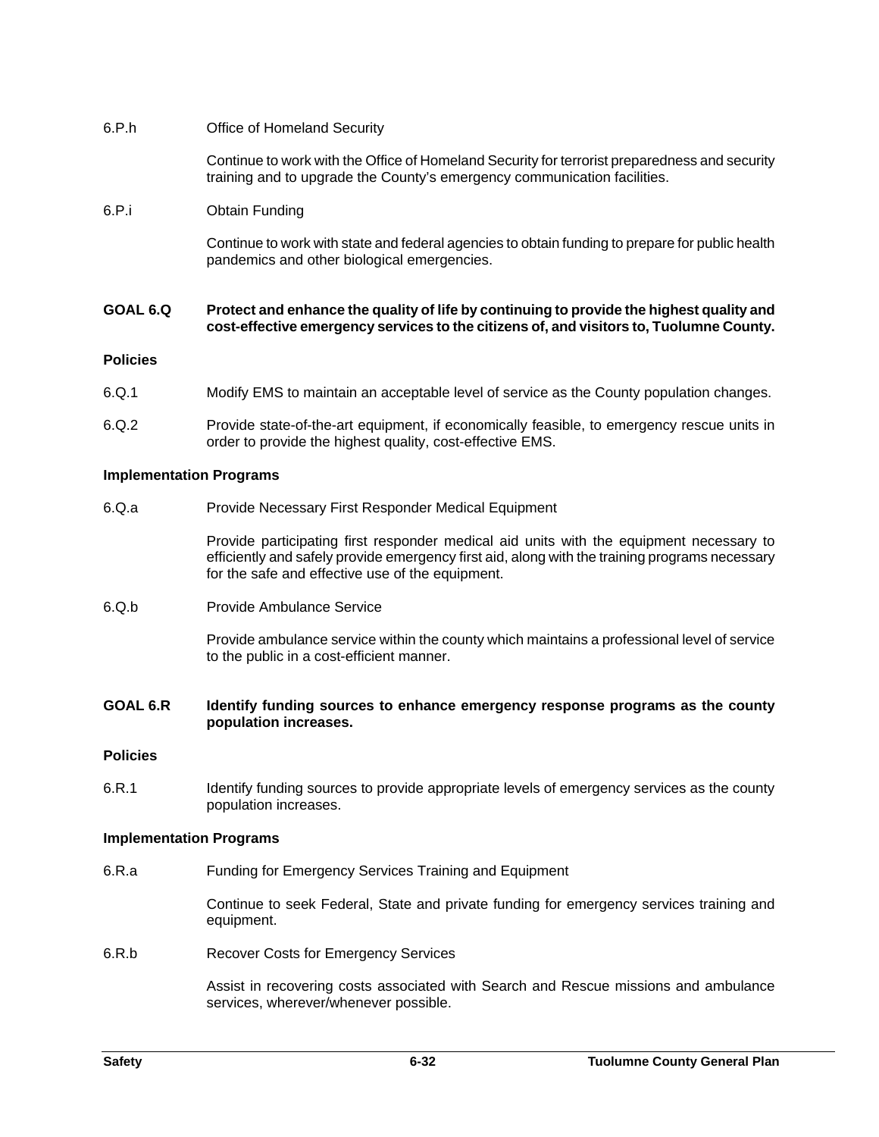## 6.P.h Office of Homeland Security

Continue to work with the Office of Homeland Security for terrorist preparedness and security training and to upgrade the County's emergency communication facilities.

## 6.P.i Obtain Funding

Continue to work with state and federal agencies to obtain funding to prepare for public health pandemics and other biological emergencies.

#### **GOAL 6.Q Protect and enhance the quality of life by continuing to provide the highest quality and cost-effective emergency services to the citizens of, and visitors to, Tuolumne County.**

## **Policies**

- 6.Q.1 Modify EMS to maintain an acceptable level of service as the County population changes.
- 6.Q.2 Provide state-of-the-art equipment, if economically feasible, to emergency rescue units in order to provide the highest quality, cost-effective EMS.

## **Implementation Programs**

6.Q.a Provide Necessary First Responder Medical Equipment

Provide participating first responder medical aid units with the equipment necessary to efficiently and safely provide emergency first aid, along with the training programs necessary for the safe and effective use of the equipment.

6.Q.b Provide Ambulance Service

Provide ambulance service within the county which maintains a professional level of service to the public in a cost-efficient manner.

## **GOAL 6.R Identify funding sources to enhance emergency response programs as the county population increases.**

## **Policies**

6.R.1 Identify funding sources to provide appropriate levels of emergency services as the county population increases.

## **Implementation Programs**

6.R.a Funding for Emergency Services Training and Equipment

Continue to seek Federal, State and private funding for emergency services training and equipment.

6.R.b Recover Costs for Emergency Services

Assist in recovering costs associated with Search and Rescue missions and ambulance services, wherever/whenever possible.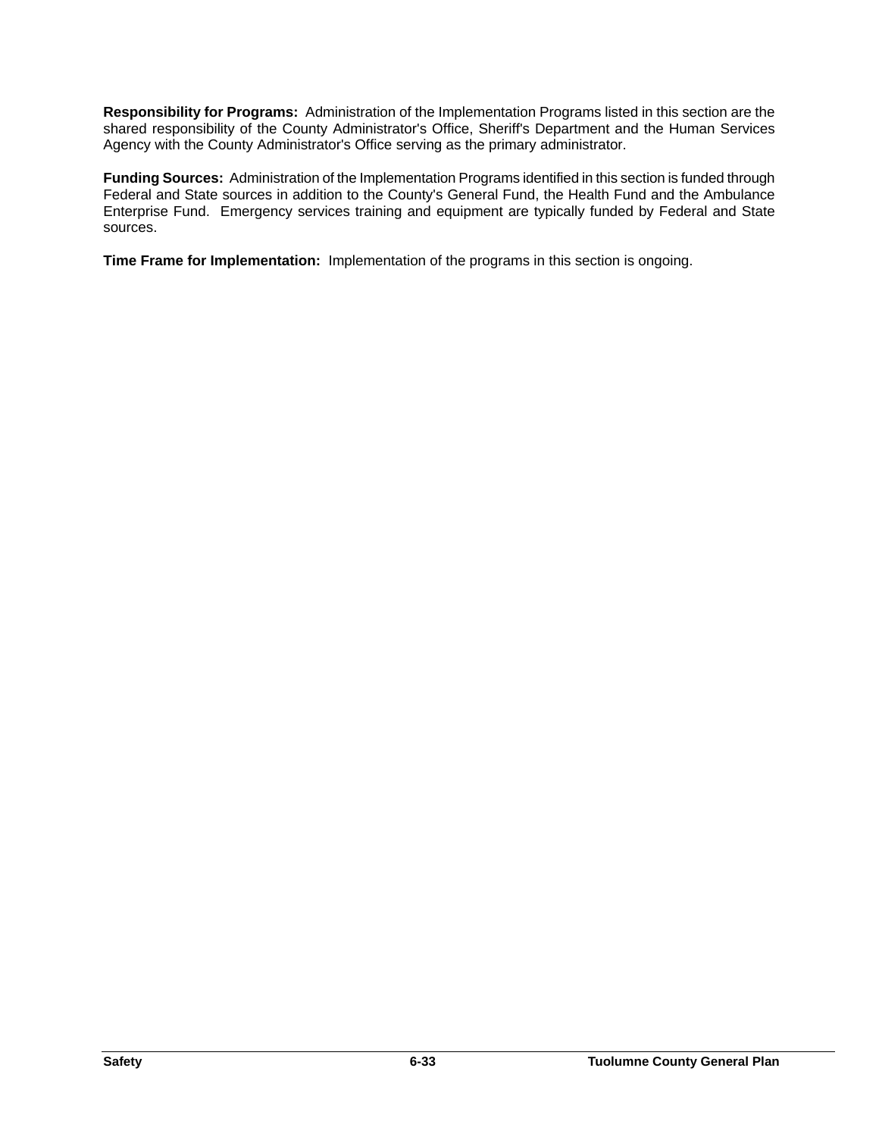**Responsibility for Programs:** Administration of the Implementation Programs listed in this section are the shared responsibility of the County Administrator's Office, Sheriff's Department and the Human Services Agency with the County Administrator's Office serving as the primary administrator.

**Funding Sources:** Administration of the Implementation Programs identified in this section is funded through Federal and State sources in addition to the County's General Fund, the Health Fund and the Ambulance Enterprise Fund. Emergency services training and equipment are typically funded by Federal and State sources.

**Time Frame for Implementation:** Implementation of the programs in this section is ongoing.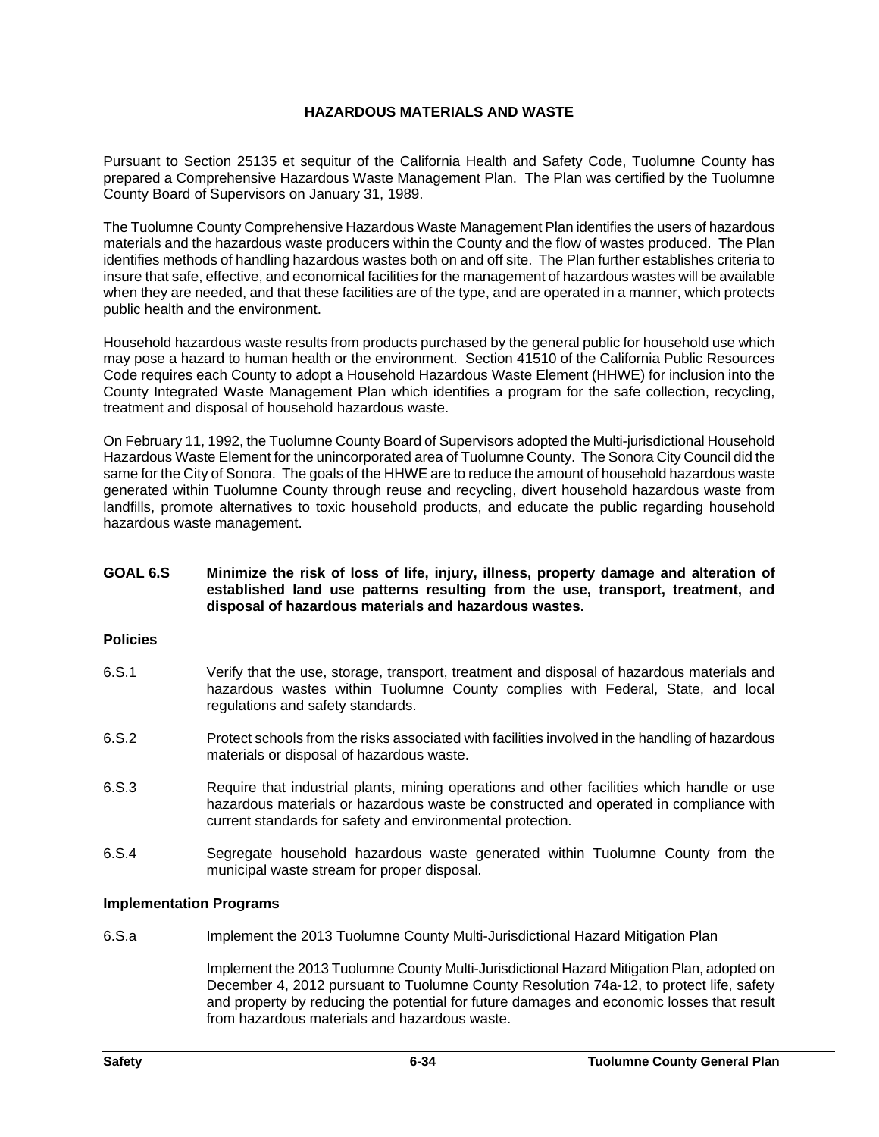## **HAZARDOUS MATERIALS AND WASTE**

Pursuant to Section 25135 et sequitur of the California Health and Safety Code, Tuolumne County has prepared a Comprehensive Hazardous Waste Management Plan. The Plan was certified by the Tuolumne County Board of Supervisors on January 31, 1989.

The Tuolumne County Comprehensive Hazardous Waste Management Plan identifies the users of hazardous materials and the hazardous waste producers within the County and the flow of wastes produced. The Plan identifies methods of handling hazardous wastes both on and off site. The Plan further establishes criteria to insure that safe, effective, and economical facilities for the management of hazardous wastes will be available when they are needed, and that these facilities are of the type, and are operated in a manner, which protects public health and the environment.

Household hazardous waste results from products purchased by the general public for household use which may pose a hazard to human health or the environment. Section 41510 of the California Public Resources Code requires each County to adopt a Household Hazardous Waste Element (HHWE) for inclusion into the County Integrated Waste Management Plan which identifies a program for the safe collection, recycling, treatment and disposal of household hazardous waste.

On February 11, 1992, the Tuolumne County Board of Supervisors adopted the Multi-jurisdictional Household Hazardous Waste Element for the unincorporated area of Tuolumne County. The Sonora City Council did the same for the City of Sonora. The goals of the HHWE are to reduce the amount of household hazardous waste generated within Tuolumne County through reuse and recycling, divert household hazardous waste from landfills, promote alternatives to toxic household products, and educate the public regarding household hazardous waste management.

## **GOAL 6.S Minimize the risk of loss of life, injury, illness, property damage and alteration of established land use patterns resulting from the use, transport, treatment, and disposal of hazardous materials and hazardous wastes.**

## **Policies**

- 6.S.1 Verify that the use, storage, transport, treatment and disposal of hazardous materials and hazardous wastes within Tuolumne County complies with Federal, State, and local regulations and safety standards.
- 6.S.2 Protect schools from the risks associated with facilities involved in the handling of hazardous materials or disposal of hazardous waste.
- 6.S.3 Require that industrial plants, mining operations and other facilities which handle or use hazardous materials or hazardous waste be constructed and operated in compliance with current standards for safety and environmental protection.
- 6.S.4 Segregate household hazardous waste generated within Tuolumne County from the municipal waste stream for proper disposal.

## **Implementation Programs**

6.S.a Implement the 2013 Tuolumne County Multi-Jurisdictional Hazard Mitigation Plan

Implement the 2013 Tuolumne County Multi-Jurisdictional Hazard Mitigation Plan, adopted on December 4, 2012 pursuant to Tuolumne County Resolution 74a-12, to protect life, safety and property by reducing the potential for future damages and economic losses that result from hazardous materials and hazardous waste.